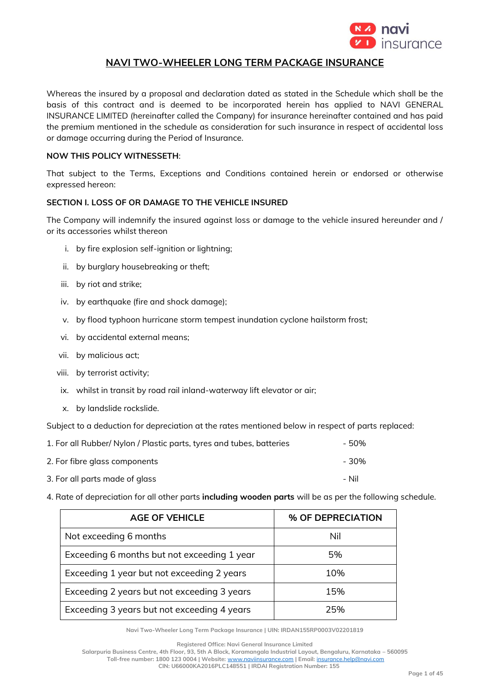

# **NAVI TWO-WHEELER LONG TERM PACKAGE INSURANCE**

Whereas the insured by a proposal and declaration dated as stated in the Schedule which shall be the basis of this contract and is deemed to be incorporated herein has applied to NAVI GENERAL INSURANCE LIMITED (hereinafter called the Company) for insurance hereinafter contained and has paid the premium mentioned in the schedule as consideration for such insurance in respect of accidental loss or damage occurring during the Period of Insurance.

### **NOW THIS POLICY WITNESSETH**:

That subject to the Terms, Exceptions and Conditions contained herein or endorsed or otherwise expressed hereon:

### **SECTION I. LOSS OF OR DAMAGE TO THE VEHICLE INSURED**

The Company will indemnify the insured against loss or damage to the vehicle insured hereunder and / or its accessories whilst thereon

- i. by fire explosion self-ignition or lightning;
- ii. by burglary housebreaking or theft;
- iii. by riot and strike;
- iv. by earthquake (fire and shock damage);
- v. by flood typhoon hurricane storm tempest inundation cyclone hailstorm frost;
- vi. by accidental external means;
- vii. by malicious act;
- viii. by terrorist activity;
- ix. whilst in transit by road rail inland-waterway lift elevator or air;
- x. by landslide rockslide.

Subject to a deduction for depreciation at the rates mentioned below in respect of parts replaced:

| 1. For all Rubber/ Nylon / Plastic parts, tyres and tubes, batteries | - 50% |  |
|----------------------------------------------------------------------|-------|--|
| 2. For fibre glass components                                        | - 30% |  |
| 3. For all parts made of glass                                       | – Nil |  |

4. Rate of depreciation for all other parts **including wooden parts** will be as per the following schedule.

| <b>AGE OF VEHICLE</b>                       | % OF DEPRECIATION |
|---------------------------------------------|-------------------|
| Not exceeding 6 months                      | Nil               |
| Exceeding 6 months but not exceeding 1 year | 5%                |
| Exceeding 1 year but not exceeding 2 years  | 10%               |
| Exceeding 2 years but not exceeding 3 years | 15%               |
| Exceeding 3 years but not exceeding 4 years | 25%               |

**Navi Two-Wheeler Long Term Package Insurance | UIN: IRDAN155RP0003V02201819**

**Registered Office: Navi General Insurance Limited**

**Salarpuria Business Centre, 4th Floor, 93, 5th A Block, Koramangala Industrial Layout, Bengaluru, Karnataka – 560095**

**Toll-free number: 1800 123 0004 | Website:** [www.naviinsurance.com](http://www.naviinsurance.com/) **| Email:** [insurance.help@navi.com](mailto:insurance.help@navi.com)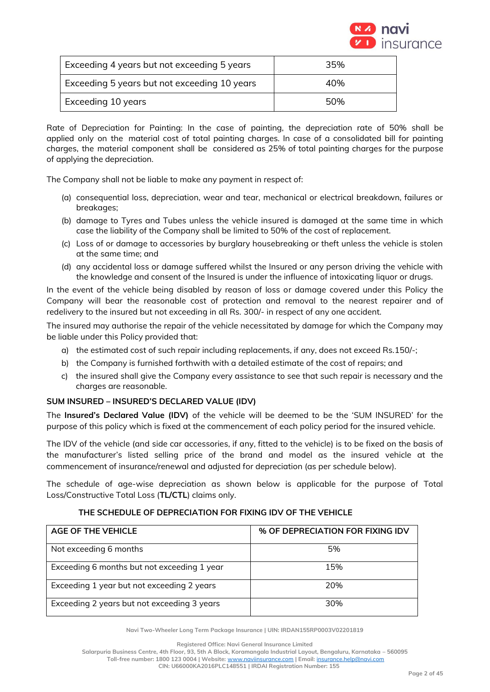

| Exceeding 4 years but not exceeding 5 years  | 35% |
|----------------------------------------------|-----|
| Exceeding 5 years but not exceeding 10 years | 40% |
| Exceeding 10 years                           | 50% |

Rate of Depreciation for Painting: In the case of painting, the depreciation rate of 50% shall be applied only on the material cost of total painting charges. In case of a consolidated bill for painting charges, the material component shall be considered as 25% of total painting charges for the purpose of applying the depreciation.

The Company shall not be liable to make any payment in respect of:

- (a) consequential loss, depreciation, wear and tear, mechanical or electrical breakdown, failures or breakages;
- (b) damage to Tyres and Tubes unless the vehicle insured is damaged at the same time in which case the liability of the Company shall be limited to 50% of the cost of replacement.
- (c) Loss of or damage to accessories by burglary housebreaking or theft unless the vehicle is stolen at the same time; and
- (d) any accidental loss or damage suffered whilst the Insured or any person driving the vehicle with the knowledge and consent of the Insured is under the influence of intoxicating liquor or drugs.

In the event of the vehicle being disabled by reason of loss or damage covered under this Policy the Company will bear the reasonable cost of protection and removal to the nearest repairer and of redelivery to the insured but not exceeding in all Rs. 300/- in respect of any one accident.

The insured may authorise the repair of the vehicle necessitated by damage for which the Company may be liable under this Policy provided that:

- a) the estimated cost of such repair including replacements, if any, does not exceed Rs.150/-;
- b) the Company is furnished forthwith with a detailed estimate of the cost of repairs; and
- c) the insured shall give the Company every assistance to see that such repair is necessary and the charges are reasonable.

# **SUM INSURED – INSURED'S DECLARED VALUE (IDV)**

The **Insured's Declared Value (IDV)** of the vehicle will be deemed to be the 'SUM INSURED' for the purpose of this policy which is fixed at the commencement of each policy period for the insured vehicle.

The IDV of the vehicle (and side car accessories, if any, fitted to the vehicle) is to be fixed on the basis of the manufacturer's listed selling price of the brand and model as the insured vehicle at the commencement of insurance/renewal and adjusted for depreciation (as per schedule below).

The schedule of age-wise depreciation as shown below is applicable for the purpose of Total Loss/Constructive Total Loss (**TL/CTL**) claims only.

| <b>AGE OF THE VEHICLE</b>                   | % OF DEPRECIATION FOR FIXING IDV |
|---------------------------------------------|----------------------------------|
| Not exceeding 6 months                      | 5%                               |
| Exceeding 6 months but not exceeding 1 year | 15%                              |
| Exceeding 1 year but not exceeding 2 years  | 20%                              |
| Exceeding 2 years but not exceeding 3 years | 30%                              |

### **THE SCHEDULE OF DEPRECIATION FOR FIXING IDV OF THE VEHICLE**

**Navi Two-Wheeler Long Term Package Insurance | UIN: IRDAN155RP0003V02201819**

**Registered Office: Navi General Insurance Limited**

**Salarpuria Business Centre, 4th Floor, 93, 5th A Block, Koramangala Industrial Layout, Bengaluru, Karnataka – 560095**

**Toll-free number: 1800 123 0004 | Website:** [www.naviinsurance.com](http://www.naviinsurance.com/) **| Email:** [insurance.help@navi.com](mailto:insurance.help@navi.com)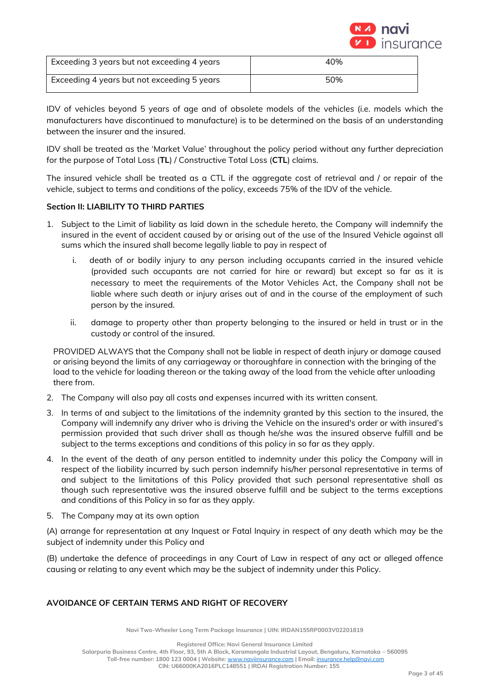

| Exceeding 3 years but not exceeding 4 years | 40% |
|---------------------------------------------|-----|
| Exceeding 4 years but not exceeding 5 years | 50% |

IDV of vehicles beyond 5 years of age and of obsolete models of the vehicles (i.e. models which the manufacturers have discontinued to manufacture) is to be determined on the basis of an understanding between the insurer and the insured.

IDV shall be treated as the 'Market Value' throughout the policy period without any further depreciation for the purpose of Total Loss (**TL**) / Constructive Total Loss (**CTL**) claims.

The insured vehicle shall be treated as a CTL if the aggregate cost of retrieval and / or repair of the vehicle, subject to terms and conditions of the policy, exceeds 75% of the IDV of the vehicle.

# **Section II: LIABILITY TO THIRD PARTIES**

- 1. Subject to the Limit of liability as laid down in the schedule hereto, the Company will indemnify the insured in the event of accident caused by or arising out of the use of the Insured Vehicle against all sums which the insured shall become legally liable to pay in respect of
	- i. death of or bodily injury to any person including occupants carried in the insured vehicle (provided such occupants are not carried for hire or reward) but except so far as it is necessary to meet the requirements of the Motor Vehicles Act, the Company shall not be liable where such death or injury arises out of and in the course of the employment of such person by the insured.
	- ii. damage to property other than property belonging to the insured or held in trust or in the custody or control of the insured.

PROVIDED ALWAYS that the Company shall not be liable in respect of death injury or damage caused or arising beyond the limits of any carriageway or thoroughfare in connection with the bringing of the load to the vehicle for loading thereon or the taking away of the load from the vehicle after unloading there from.

- 2. The Company will also pay all costs and expenses incurred with its written consent.
- 3. In terms of and subject to the limitations of the indemnity granted by this section to the insured, the Company will indemnify any driver who is driving the Vehicle on the insured's order or with insured's permission provided that such driver shall as though he/she was the insured observe fulfill and be subject to the terms exceptions and conditions of this policy in so far as they apply.
- 4. In the event of the death of any person entitled to indemnity under this policy the Company will in respect of the liability incurred by such person indemnify his/her personal representative in terms of and subject to the limitations of this Policy provided that such personal representative shall as though such representative was the insured observe fulfill and be subject to the terms exceptions and conditions of this Policy in so far as they apply.
- 5. The Company may at its own option

(A) arrange for representation at any Inquest or Fatal Inquiry in respect of any death which may be the subject of indemnity under this Policy and

(B) undertake the defence of proceedings in any Court of Law in respect of any act or alleged offence causing or relating to any event which may be the subject of indemnity under this Policy.

# **AVOIDANCE OF CERTAIN TERMS AND RIGHT OF RECOVERY**

**Navi Two-Wheeler Long Term Package Insurance | UIN: IRDAN155RP0003V02201819**

**Registered Office: Navi General Insurance Limited Salarpuria Business Centre, 4th Floor, 93, 5th A Block, Koramangala Industrial Layout, Bengaluru, Karnataka – 560095 Toll-free number: 1800 123 0004 | Website:** [www.naviinsurance.com](http://www.naviinsurance.com/) **| Email:** [insurance.help@navi.com](mailto:insurance.help@navi.com) **CIN: U66000KA2016PLC148551 | IRDAI Registration Number: 155**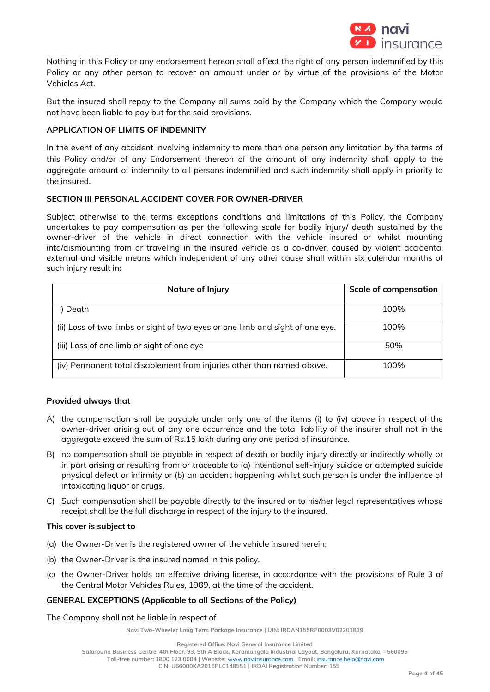

Nothing in this Policy or any endorsement hereon shall affect the right of any person indemnified by this Policy or any other person to recover an amount under or by virtue of the provisions of the Motor Vehicles Act.

But the insured shall repay to the Company all sums paid by the Company which the Company would not have been liable to pay but for the said provisions.

# **APPLICATION OF LIMITS OF INDEMNITY**

In the event of any accident involving indemnity to more than one person any limitation by the terms of this Policy and/or of any Endorsement thereon of the amount of any indemnity shall apply to the aggregate amount of indemnity to all persons indemnified and such indemnity shall apply in priority to the insured.

### **SECTION III PERSONAL ACCIDENT COVER FOR OWNER-DRIVER**

Subject otherwise to the terms exceptions conditions and limitations of this Policy, the Company undertakes to pay compensation as per the following scale for bodily injury/ death sustained by the owner-driver of the vehicle in direct connection with the vehicle insured or whilst mounting into/dismounting from or traveling in the insured vehicle as a co-driver, caused by violent accidental external and visible means which independent of any other cause shall within six calendar months of such injury result in:

| Nature of Injury                                                              | <b>Scale of compensation</b> |
|-------------------------------------------------------------------------------|------------------------------|
| i) Death                                                                      | 100%                         |
| (ii) Loss of two limbs or sight of two eyes or one limb and sight of one eye. | 100%                         |
| (iii) Loss of one limb or sight of one eye                                    | 50%                          |
| (iv) Permanent total disablement from injuries other than named above.        | 100%                         |

### **Provided always that**

- A) the compensation shall be payable under only one of the items (i) to (iv) above in respect of the owner-driver arising out of any one occurrence and the total liability of the insurer shall not in the aggregate exceed the sum of Rs.15 lakh during any one period of insurance.
- B) no compensation shall be payable in respect of death or bodily injury directly or indirectly wholly or in part arising or resulting from or traceable to (a) intentional self-injury suicide or attempted suicide physical defect or infirmity or (b) an accident happening whilst such person is under the influence of intoxicating liquor or drugs.
- C) Such compensation shall be payable directly to the insured or to his/her legal representatives whose receipt shall be the full discharge in respect of the injury to the insured.

### **This cover is subject to**

- (a) the Owner-Driver is the registered owner of the vehicle insured herein;
- (b) the Owner-Driver is the insured named in this policy.
- (c) the Owner-Driver holds an effective driving license, in accordance with the provisions of Rule 3 of the Central Motor Vehicles Rules, 1989, at the time of the accident.

### **GENERAL EXCEPTIONS (Applicable to all Sections of the Policy)**

The Company shall not be liable in respect of

**Navi Two-Wheeler Long Term Package Insurance | UIN: IRDAN155RP0003V02201819**

**Registered Office: Navi General Insurance Limited**

**Salarpuria Business Centre, 4th Floor, 93, 5th A Block, Koramangala Industrial Layout, Bengaluru, Karnataka – 560095**

**Toll-free number: 1800 123 0004 | Website:** [www.naviinsurance.com](http://www.naviinsurance.com/) **| Email:** [insurance.help@navi.com](mailto:insurance.help@navi.com)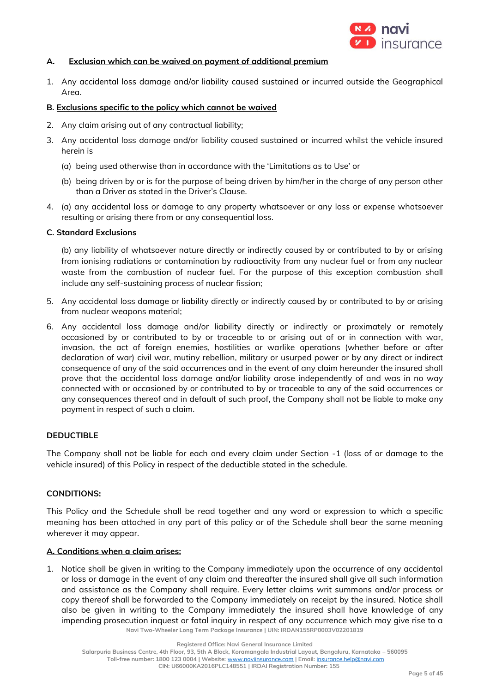

### **A. Exclusion which can be waived on payment of additional premium**

1. Any accidental loss damage and/or liability caused sustained or incurred outside the Geographical Area.

### **B. Exclusions specific to the policy which cannot be waived**

- 2. Any claim arising out of any contractual liability;
- 3. Any accidental loss damage and/or liability caused sustained or incurred whilst the vehicle insured herein is
	- (a) being used otherwise than in accordance with the 'Limitations as to Use' or
	- (b) being driven by or is for the purpose of being driven by him/her in the charge of any person other than a Driver as stated in the Driver's Clause.
- 4. (a) any accidental loss or damage to any property whatsoever or any loss or expense whatsoever resulting or arising there from or any consequential loss.

### **C. Standard Exclusions**

(b) any liability of whatsoever nature directly or indirectly caused by or contributed to by or arising from ionising radiations or contamination by radioactivity from any nuclear fuel or from any nuclear waste from the combustion of nuclear fuel. For the purpose of this exception combustion shall include any self-sustaining process of nuclear fission;

- 5. Any accidental loss damage or liability directly or indirectly caused by or contributed to by or arising from nuclear weapons material;
- 6. Any accidental loss damage and/or liability directly or indirectly or proximately or remotely occasioned by or contributed to by or traceable to or arising out of or in connection with war, invasion, the act of foreign enemies, hostilities or warlike operations (whether before or after declaration of war) civil war, mutiny rebellion, military or usurped power or by any direct or indirect consequence of any of the said occurrences and in the event of any claim hereunder the insured shall prove that the accidental loss damage and/or liability arose independently of and was in no way connected with or occasioned by or contributed to by or traceable to any of the said occurrences or any consequences thereof and in default of such proof, the Company shall not be liable to make any payment in respect of such a claim.

### **DEDUCTIBLE**

The Company shall not be liable for each and every claim under Section -1 (loss of or damage to the vehicle insured) of this Policy in respect of the deductible stated in the schedule.

#### **CONDITIONS:**

This Policy and the Schedule shall be read together and any word or expression to which a specific meaning has been attached in any part of this policy or of the Schedule shall bear the same meaning wherever it may appear.

#### **A. Conditions when a claim arises:**

**Navi Two-Wheeler Long Term Package Insurance | UIN: IRDAN155RP0003V02201819** 1. Notice shall be given in writing to the Company immediately upon the occurrence of any accidental or loss or damage in the event of any claim and thereafter the insured shall give all such information and assistance as the Company shall require. Every letter claims writ summons and/or process or copy thereof shall be forwarded to the Company immediately on receipt by the insured. Notice shall also be given in writing to the Company immediately the insured shall have knowledge of any impending prosecution inquest or fatal inquiry in respect of any occurrence which may give rise to a

**Registered Office: Navi General Insurance Limited**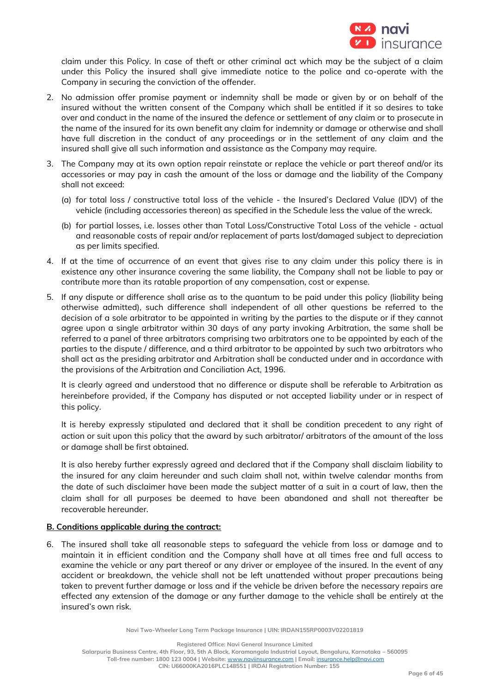

claim under this Policy. In case of theft or other criminal act which may be the subject of a claim under this Policy the insured shall give immediate notice to the police and co-operate with the Company in securing the conviction of the offender.

- 2. No admission offer promise payment or indemnity shall be made or given by or on behalf of the insured without the written consent of the Company which shall be entitled if it so desires to take over and conduct in the name of the insured the defence or settlement of any claim or to prosecute in the name of the insured for its own benefit any claim for indemnity or damage or otherwise and shall have full discretion in the conduct of any proceedings or in the settlement of any claim and the insured shall give all such information and assistance as the Company may require.
- 3. The Company may at its own option repair reinstate or replace the vehicle or part thereof and/or its accessories or may pay in cash the amount of the loss or damage and the liability of the Company shall not exceed:
	- (a) for total loss / constructive total loss of the vehicle the Insured's Declared Value (IDV) of the vehicle (including accessories thereon) as specified in the Schedule less the value of the wreck.
	- (b) for partial losses, i.e. losses other than Total Loss/Constructive Total Loss of the vehicle actual and reasonable costs of repair and/or replacement of parts lost/damaged subject to depreciation as per limits specified.
- 4. If at the time of occurrence of an event that gives rise to any claim under this policy there is in existence any other insurance covering the same liability, the Company shall not be liable to pay or contribute more than its ratable proportion of any compensation, cost or expense.
- 5. If any dispute or difference shall arise as to the quantum to be paid under this policy (liability being otherwise admitted), such difference shall independent of all other questions be referred to the decision of a sole arbitrator to be appointed in writing by the parties to the dispute or if they cannot agree upon a single arbitrator within 30 days of any party invoking Arbitration, the same shall be referred to a panel of three arbitrators comprising two arbitrators one to be appointed by each of the parties to the dispute / difference, and a third arbitrator to be appointed by such two arbitrators who shall act as the presiding arbitrator and Arbitration shall be conducted under and in accordance with the provisions of the Arbitration and Conciliation Act, 1996.

It is clearly agreed and understood that no difference or dispute shall be referable to Arbitration as hereinbefore provided, if the Company has disputed or not accepted liability under or in respect of this policy.

It is hereby expressly stipulated and declared that it shall be condition precedent to any right of action or suit upon this policy that the award by such arbitrator/ arbitrators of the amount of the loss or damage shall be first obtained.

It is also hereby further expressly agreed and declared that if the Company shall disclaim liability to the insured for any claim hereunder and such claim shall not, within twelve calendar months from the date of such disclaimer have been made the subject matter of a suit in a court of law, then the claim shall for all purposes be deemed to have been abandoned and shall not thereafter be recoverable hereunder.

## **B. Conditions applicable during the contract:**

6. The insured shall take all reasonable steps to safeguard the vehicle from loss or damage and to maintain it in efficient condition and the Company shall have at all times free and full access to examine the vehicle or any part thereof or any driver or employee of the insured. In the event of any accident or breakdown, the vehicle shall not be left unattended without proper precautions being taken to prevent further damage or loss and if the vehicle be driven before the necessary repairs are effected any extension of the damage or any further damage to the vehicle shall be entirely at the insured's own risk.

**Navi Two-Wheeler Long Term Package Insurance | UIN: IRDAN155RP0003V02201819**

**Registered Office: Navi General Insurance Limited**

**Salarpuria Business Centre, 4th Floor, 93, 5th A Block, Koramangala Industrial Layout, Bengaluru, Karnataka – 560095 Toll-free number: 1800 123 0004 | Website:** [www.naviinsurance.com](http://www.naviinsurance.com/) **| Email:** [insurance.help@navi.com](mailto:insurance.help@navi.com)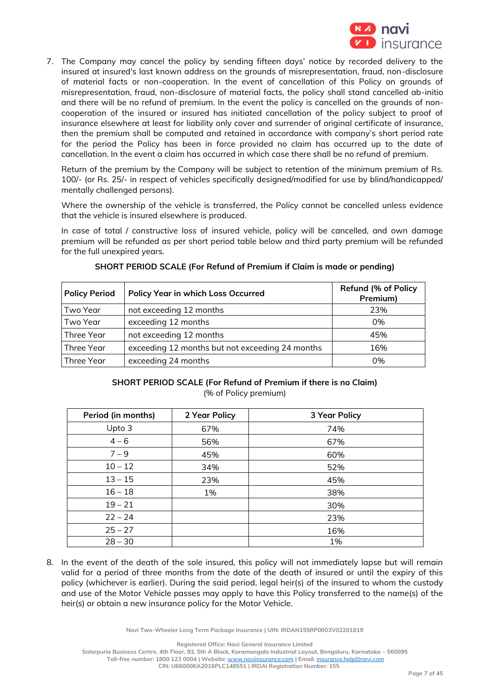

7. The Company may cancel the policy by sending fifteen days' notice by recorded delivery to the insured at insured's last known address on the grounds of misrepresentation, fraud, non-disclosure of material facts or non-cooperation. In the event of cancellation of this Policy on grounds of misrepresentation, fraud, non-disclosure of material facts, the policy shall stand cancelled ab-initio and there will be no refund of premium. In the event the policy is cancelled on the grounds of noncooperation of the insured or insured has initiated cancellation of the policy subject to proof of insurance elsewhere at least for liability only cover and surrender of original certificate of insurance, then the premium shall be computed and retained in accordance with company's short period rate for the period the Policy has been in force provided no claim has occurred up to the date of cancellation. In the event a claim has occurred in which case there shall be no refund of premium.

Return of the premium by the Company will be subject to retention of the minimum premium of Rs. 100/- (or Rs. 25/- in respect of vehicles specifically designed/modified for use by blind/handicapped/ mentally challenged persons).

Where the ownership of the vehicle is transferred, the Policy cannot be cancelled unless evidence that the vehicle is insured elsewhere is produced.

In case of total / constructive loss of insured vehicle, policy will be cancelled, and own damage premium will be refunded as per short period table below and third party premium will be refunded for the full unexpired years.

| <b>Policy Period</b> | <b>Policy Year in which Loss Occurred</b>       | <b>Refund (% of Policy</b><br>Premium) |
|----------------------|-------------------------------------------------|----------------------------------------|
| Two Year             | not exceeding 12 months                         | 23%                                    |
| Two Year             | exceeding 12 months                             | 0%                                     |
| Three Year           | not exceeding 12 months                         | 45%                                    |
| Three Year           | exceeding 12 months but not exceeding 24 months | 16%                                    |
| Three Year           | exceeding 24 months                             | 0%                                     |

### **SHORT PERIOD SCALE (For Refund of Premium if Claim is made or pending)**

### **SHORT PERIOD SCALE (For Refund of Premium if there is no Claim)** (% of Policy premium)

| Period (in months) | 2 Year Policy | <b>3 Year Policy</b> |
|--------------------|---------------|----------------------|
| Upto 3             | 67%           | 74%                  |
| $4 - 6$            | 56%           | 67%                  |
| $7 - 9$            | 45%           | 60%                  |
| $10 - 12$          | 34%           | 52%                  |
| $13 - 15$          | 23%           | 45%                  |
| $16 - 18$          | 1%            | 38%                  |
| $19 - 21$          |               | 30%                  |
| $22 - 24$          |               | 23%                  |
| $25 - 27$          |               | 16%                  |
| $28 - 30$          |               | 1%                   |

8. In the event of the death of the sole insured, this policy will not immediately lapse but will remain valid for a period of three months from the date of the death of insured or until the expiry of this policy (whichever is earlier). During the said period, legal heir(s) of the insured to whom the custody and use of the Motor Vehicle passes may apply to have this Policy transferred to the name(s) of the heir(s) or obtain a new insurance policy for the Motor Vehicle.

**Navi Two-Wheeler Long Term Package Insurance | UIN: IRDAN155RP0003V02201819**

**Registered Office: Navi General Insurance Limited**

**Salarpuria Business Centre, 4th Floor, 93, 5th A Block, Koramangala Industrial Layout, Bengaluru, Karnataka – 560095 Toll-free number: 1800 123 0004 | Website:** [www.naviinsurance.com](http://www.naviinsurance.com/) **| Email:** [insurance.help@navi.com](mailto:insurance.help@navi.com)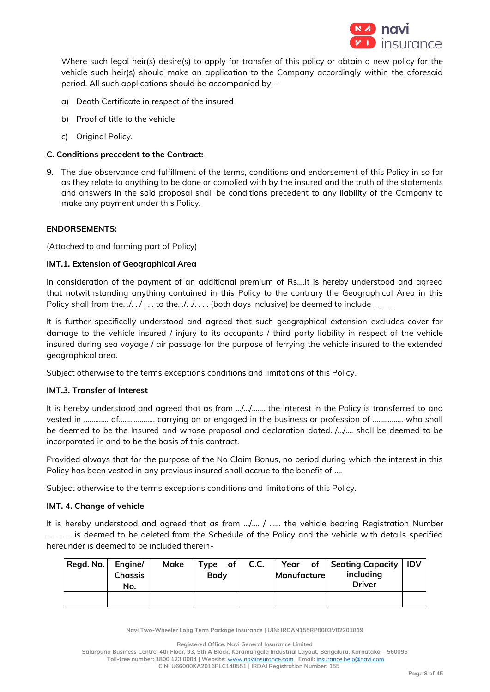

Where such legal heir(s) desire(s) to apply for transfer of this policy or obtain a new policy for the vehicle such heir(s) should make an application to the Company accordingly within the aforesaid period. All such applications should be accompanied by: -

- a) Death Certificate in respect of the insured
- b) Proof of title to the vehicle
- c) Original Policy.

## **C. Conditions precedent to the Contract:**

9. The due observance and fulfillment of the terms, conditions and endorsement of this Policy in so far as they relate to anything to be done or complied with by the insured and the truth of the statements and answers in the said proposal shall be conditions precedent to any liability of the Company to make any payment under this Policy.

### **ENDORSEMENTS:**

(Attached to and forming part of Policy)

### **IMT.1. Extension of Geographical Area**

In consideration of the payment of an additional premium of Rs….it is hereby understood and agreed that notwithstanding anything contained in this Policy to the contrary the Geographical Area in this Policy shall from the.  $\ell$ . .  $\ell$ ... to the.  $\ell$ . ... . (both days inclusive) be deemed to include

It is further specifically understood and agreed that such geographical extension excludes cover for damage to the vehicle insured / injury to its occupants / third party liability in respect of the vehicle insured during sea voyage / air passage for the purpose of ferrying the vehicle insured to the extended geographical area.

Subject otherwise to the terms exceptions conditions and limitations of this Policy.

## **IMT.3. Transfer of Interest**

It is hereby understood and agreed that as from …/…/……. the interest in the Policy is transferred to and vested in ……….... of………………. carrying on or engaged in the business or profession of ……………. who shall be deemed to be the Insured and whose proposal and declaration dated. /…/…. shall be deemed to be incorporated in and to be the basis of this contract.

Provided always that for the purpose of the No Claim Bonus, no period during which the interest in this Policy has been vested in any previous insured shall accrue to the benefit of ....

Subject otherwise to the terms exceptions conditions and limitations of this Policy.

## **IMT. 4. Change of vehicle**

It is hereby understood and agreed that as from …/…. / …... the vehicle bearing Registration Number …………. is deemed to be deleted from the Schedule of the Policy and the vehicle with details specified hereunder is deemed to be included therein-

| Regd. No. | Engine/<br><b>Chassis</b><br>No. | Make | $Type$ of<br><b>Body</b> | C.C. | Manufacture | Year of Seating Capacity<br>including<br><b>Driver</b> | <b>IDV</b> |
|-----------|----------------------------------|------|--------------------------|------|-------------|--------------------------------------------------------|------------|
|           |                                  |      |                          |      |             |                                                        |            |

**Navi Two-Wheeler Long Term Package Insurance | UIN: IRDAN155RP0003V02201819**

**Registered Office: Navi General Insurance Limited**

**Salarpuria Business Centre, 4th Floor, 93, 5th A Block, Koramangala Industrial Layout, Bengaluru, Karnataka – 560095**

**Toll-free number: 1800 123 0004 | Website:** [www.naviinsurance.com](http://www.naviinsurance.com/) **| Email:** [insurance.help@navi.com](mailto:insurance.help@navi.com)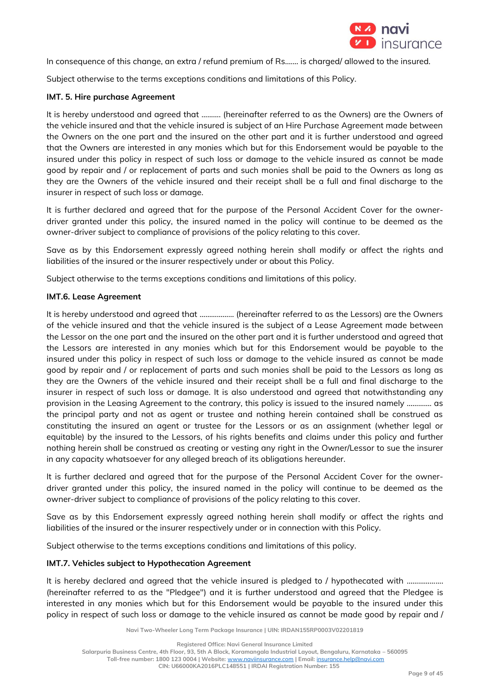

In consequence of this change, an extra / refund premium of Rs....... is charged/ allowed to the insured.

Subject otherwise to the terms exceptions conditions and limitations of this Policy.

## **IMT. 5. Hire purchase Agreement**

It is hereby understood and agreed that ………. (hereinafter referred to as the Owners) are the Owners of the vehicle insured and that the vehicle insured is subject of an Hire Purchase Agreement made between the Owners on the one part and the insured on the other part and it is further understood and agreed that the Owners are interested in any monies which but for this Endorsement would be payable to the insured under this policy in respect of such loss or damage to the vehicle insured as cannot be made good by repair and / or replacement of parts and such monies shall be paid to the Owners as long as they are the Owners of the vehicle insured and their receipt shall be a full and final discharge to the insurer in respect of such loss or damage.

It is further declared and agreed that for the purpose of the Personal Accident Cover for the ownerdriver granted under this policy, the insured named in the policy will continue to be deemed as the owner-driver subject to compliance of provisions of the policy relating to this cover.

Save as by this Endorsement expressly agreed nothing herein shall modify or affect the rights and liabilities of the insured or the insurer respectively under or about this Policy.

Subject otherwise to the terms exceptions conditions and limitations of this policy.

# **IMT.6. Lease Agreement**

It is hereby understood and agreed that ……………… (hereinafter referred to as the Lessors) are the Owners of the vehicle insured and that the vehicle insured is the subject of a Lease Agreement made between the Lessor on the one part and the insured on the other part and it is further understood and agreed that the Lessors are interested in any monies which but for this Endorsement would be payable to the insured under this policy in respect of such loss or damage to the vehicle insured as cannot be made good by repair and / or replacement of parts and such monies shall be paid to the Lessors as long as they are the Owners of the vehicle insured and their receipt shall be a full and final discharge to the insurer in respect of such loss or damage. It is also understood and agreed that notwithstanding any provision in the Leasing Agreement to the contrary, this policy is issued to the insured namely …………. as the principal party and not as agent or trustee and nothing herein contained shall be construed as constituting the insured an agent or trustee for the Lessors or as an assignment (whether legal or equitable) by the insured to the Lessors, of his rights benefits and claims under this policy and further nothing herein shall be construed as creating or vesting any right in the Owner/Lessor to sue the insurer in any capacity whatsoever for any alleged breach of its obligations hereunder.

It is further declared and agreed that for the purpose of the Personal Accident Cover for the ownerdriver granted under this policy, the insured named in the policy will continue to be deemed as the owner-driver subject to compliance of provisions of the policy relating to this cover.

Save as by this Endorsement expressly agreed nothing herein shall modify or affect the rights and liabilities of the insured or the insurer respectively under or in connection with this Policy.

Subject otherwise to the terms exceptions conditions and limitations of this policy.

### **IMT.7. Vehicles subject to Hypothecation Agreement**

It is hereby declared and agreed that the vehicle insured is pledged to / hypothecated with .................. (hereinafter referred to as the "Pledgee") and it is further understood and agreed that the Pledgee is interested in any monies which but for this Endorsement would be payable to the insured under this policy in respect of such loss or damage to the vehicle insured as cannot be made good by repair and /

**Navi Two-Wheeler Long Term Package Insurance | UIN: IRDAN155RP0003V02201819**

**Registered Office: Navi General Insurance Limited**

**Salarpuria Business Centre, 4th Floor, 93, 5th A Block, Koramangala Industrial Layout, Bengaluru, Karnataka – 560095**

**Toll-free number: 1800 123 0004 | Website:** [www.naviinsurance.com](http://www.naviinsurance.com/) **| Email:** [insurance.help@navi.com](mailto:insurance.help@navi.com)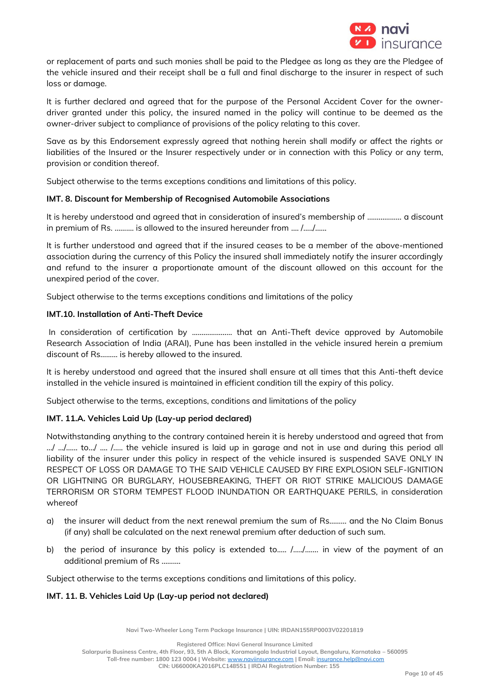

or replacement of parts and such monies shall be paid to the Pledgee as long as they are the Pledgee of the vehicle insured and their receipt shall be a full and final discharge to the insurer in respect of such loss or damage.

It is further declared and agreed that for the purpose of the Personal Accident Cover for the ownerdriver granted under this policy, the insured named in the policy will continue to be deemed as the owner-driver subject to compliance of provisions of the policy relating to this cover.

Save as by this Endorsement expressly agreed that nothing herein shall modify or affect the rights or liabilities of the Insured or the Insurer respectively under or in connection with this Policy or any term, provision or condition thereof.

Subject otherwise to the terms exceptions conditions and limitations of this policy.

# **IMT. 8. Discount for Membership of Recognised Automobile Associations**

It is hereby understood and agreed that in consideration of insured's membership of ……………… a discount in premium of Rs. ………. is allowed to the insured hereunder from …. /…../…...

It is further understood and agreed that if the insured ceases to be a member of the above-mentioned association during the currency of this Policy the insured shall immediately notify the insurer accordingly and refund to the insurer a proportionate amount of the discount allowed on this account for the unexpired period of the cover.

Subject otherwise to the terms exceptions conditions and limitations of the policy

# **IMT.10. Installation of Anti-Theft Device**

In consideration of certification by ………………… that an Anti-Theft device approved by Automobile Research Association of India (ARAI), Pune has been installed in the vehicle insured herein a premium discount of Rs……… is hereby allowed to the insured.

It is hereby understood and agreed that the insured shall ensure at all times that this Anti-theft device installed in the vehicle insured is maintained in efficient condition till the expiry of this policy.

Subject otherwise to the terms, exceptions, conditions and limitations of the policy

# **IMT. 11.A. Vehicles Laid Up (Lay-up period declared)**

Notwithstanding anything to the contrary contained herein it is hereby understood and agreed that from  $\ldots$ ,  $\ldots$ ,  $\ldots$ ,  $\ldots$ ,  $\ldots$ , the vehicle insured is laid up in garage and not in use and during this period all liability of the insurer under this policy in respect of the vehicle insured is suspended SAVE ONLY IN RESPECT OF LOSS OR DAMAGE TO THE SAID VEHICLE CAUSED BY FIRE EXPLOSION SELF-IGNITION OR LIGHTNING OR BURGLARY, HOUSEBREAKING, THEFT OR RIOT STRIKE MALICIOUS DAMAGE TERRORISM OR STORM TEMPEST FLOOD INUNDATION OR EARTHQUAKE PERILS, in consideration whereof

- a) the insurer will deduct from the next renewal premium the sum of Rs……… and the No Claim Bonus (if any) shall be calculated on the next renewal premium after deduction of such sum.
- b) the period of insurance by this policy is extended to..... /...../....... in view of the payment of an additional premium of Rs ……….

Subject otherwise to the terms exceptions conditions and limitations of this policy.

### **IMT. 11. B. Vehicles Laid Up (Lay-up period not declared)**

**Navi Two-Wheeler Long Term Package Insurance | UIN: IRDAN155RP0003V02201819**

**Registered Office: Navi General Insurance Limited**

**Salarpuria Business Centre, 4th Floor, 93, 5th A Block, Koramangala Industrial Layout, Bengaluru, Karnataka – 560095**

**Toll-free number: 1800 123 0004 | Website:** [www.naviinsurance.com](http://www.naviinsurance.com/) **| Email:** [insurance.help@navi.com](mailto:insurance.help@navi.com)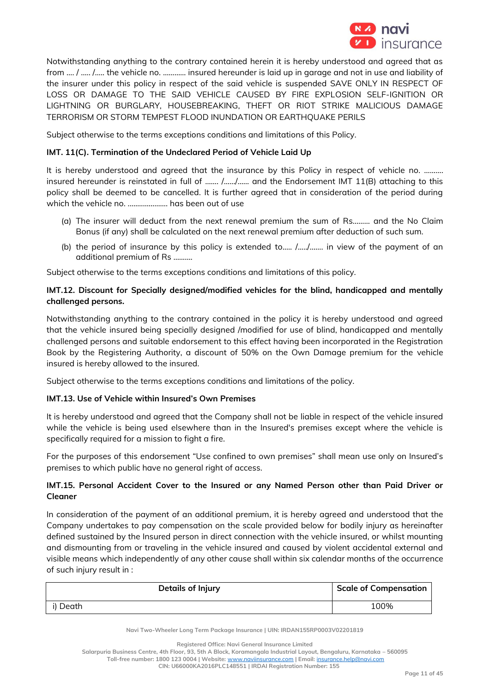

Notwithstanding anything to the contrary contained herein it is hereby understood and agreed that as from …. / ….. /….. the vehicle no. ………… insured hereunder is laid up in garage and not in use and liability of the insurer under this policy in respect of the said vehicle is suspended SAVE ONLY IN RESPECT OF LOSS OR DAMAGE TO THE SAID VEHICLE CAUSED BY FIRE EXPLOSION SELF-IGNITION OR LIGHTNING OR BURGLARY, HOUSEBREAKING, THEFT OR RIOT STRIKE MALICIOUS DAMAGE TERRORISM OR STORM TEMPEST FLOOD INUNDATION OR EARTHQUAKE PERILS

Subject otherwise to the terms exceptions conditions and limitations of this Policy.

# **IMT. 11(C). Termination of the Undeclared Period of Vehicle Laid Up**

It is hereby understood and agreed that the insurance by this Policy in respect of vehicle no. .......... insured hereunder is reinstated in full of ……. /……/…… and the Endorsement IMT 11(B) attaching to this policy shall be deemed to be cancelled. It is further agreed that in consideration of the period during which the vehicle no. ..………………. has been out of use

- (a) The insurer will deduct from the next renewal premium the sum of Rs……… and the No Claim Bonus (if any) shall be calculated on the next renewal premium after deduction of such sum.
- (b) the period of insurance by this policy is extended to.…. /…../……. in view of the payment of an additional premium of Rs ……….

Subject otherwise to the terms exceptions conditions and limitations of this policy.

# **IMT.12. Discount for Specially designed/modified vehicles for the blind, handicapped and mentally challenged persons.**

Notwithstanding anything to the contrary contained in the policy it is hereby understood and agreed that the vehicle insured being specially designed /modified for use of blind, handicapped and mentally challenged persons and suitable endorsement to this effect having been incorporated in the Registration Book by the Registering Authority, a discount of 50% on the Own Damage premium for the vehicle insured is hereby allowed to the insured.

Subject otherwise to the terms exceptions conditions and limitations of the policy.

### **IMT.13. Use of Vehicle within Insured's Own Premises**

It is hereby understood and agreed that the Company shall not be liable in respect of the vehicle insured while the vehicle is being used elsewhere than in the Insured's premises except where the vehicle is specifically required for a mission to fight a fire.

For the purposes of this endorsement "Use confined to own premises" shall mean use only on Insured's premises to which public have no general right of access.

# **IMT.15. Personal Accident Cover to the Insured or any Named Person other than Paid Driver or Cleaner**

In consideration of the payment of an additional premium, it is hereby agreed and understood that the Company undertakes to pay compensation on the scale provided below for bodily injury as hereinafter defined sustained by the Insured person in direct connection with the vehicle insured, or whilst mounting and dismounting from or traveling in the vehicle insured and caused by violent accidental external and visible means which independently of any other cause shall within six calendar months of the occurrence of such injury result in :

| Details of Injury | <b>Scale of Compensation</b> |
|-------------------|------------------------------|
| i) Death          | 100%                         |

**Navi Two-Wheeler Long Term Package Insurance | UIN: IRDAN155RP0003V02201819**

**Salarpuria Business Centre, 4th Floor, 93, 5th A Block, Koramangala Industrial Layout, Bengaluru, Karnataka – 560095**

**Toll-free number: 1800 123 0004 | Website:** [www.naviinsurance.com](http://www.naviinsurance.com/) **| Email:** [insurance.help@navi.com](mailto:insurance.help@navi.com)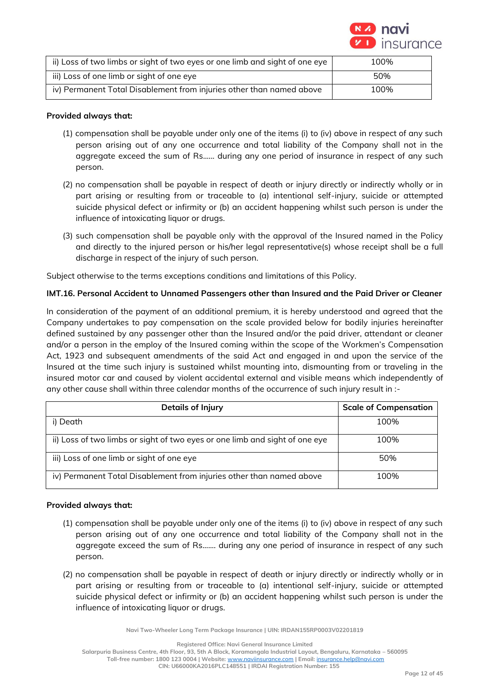

| ii) Loss of two limbs or sight of two eyes or one limb and sight of one eye | 100% |
|-----------------------------------------------------------------------------|------|
| iii) Loss of one limb or sight of one eye                                   | 50%  |
| iv) Permanent Total Disablement from injuries other than named above        | 100% |

### **Provided always that:**

- (1) compensation shall be payable under only one of the items (i) to (iv) above in respect of any such person arising out of any one occurrence and total liability of the Company shall not in the aggregate exceed the sum of Rs...... during any one period of insurance in respect of any such person.
- (2) no compensation shall be payable in respect of death or injury directly or indirectly wholly or in part arising or resulting from or traceable to (a) intentional self-injury, suicide or attempted suicide physical defect or infirmity or (b) an accident happening whilst such person is under the influence of intoxicating liquor or drugs.
- (3) such compensation shall be payable only with the approval of the Insured named in the Policy and directly to the injured person or his/her legal representative(s) whose receipt shall be a full discharge in respect of the injury of such person.

Subject otherwise to the terms exceptions conditions and limitations of this Policy.

### **IMT.16. Personal Accident to Unnamed Passengers other than Insured and the Paid Driver or Cleaner**

In consideration of the payment of an additional premium, it is hereby understood and agreed that the Company undertakes to pay compensation on the scale provided below for bodily injuries hereinafter defined sustained by any passenger other than the Insured and/or the paid driver, attendant or cleaner and/or a person in the employ of the Insured coming within the scope of the Workmen's Compensation Act, 1923 and subsequent amendments of the said Act and engaged in and upon the service of the Insured at the time such injury is sustained whilst mounting into, dismounting from or traveling in the insured motor car and caused by violent accidental external and visible means which independently of any other cause shall within three calendar months of the occurrence of such injury result in :-

| Details of Injury                                                           | <b>Scale of Compensation</b> |
|-----------------------------------------------------------------------------|------------------------------|
| i) Death                                                                    | 100%                         |
| ii) Loss of two limbs or sight of two eyes or one limb and sight of one eye | 100%                         |
| iii) Loss of one limb or sight of one eye                                   | 50%                          |
| iv) Permanent Total Disablement from injuries other than named above        | 100%                         |

### **Provided always that:**

- (1) compensation shall be payable under only one of the items (i) to (iv) above in respect of any such person arising out of any one occurrence and total liability of the Company shall not in the aggregate exceed the sum of Rs....... during any one period of insurance in respect of any such person.
- (2) no compensation shall be payable in respect of death or injury directly or indirectly wholly or in part arising or resulting from or traceable to (a) intentional self-injury, suicide or attempted suicide physical defect or infirmity or (b) an accident happening whilst such person is under the influence of intoxicating liquor or drugs.

**Navi Two-Wheeler Long Term Package Insurance | UIN: IRDAN155RP0003V02201819**

**Registered Office: Navi General Insurance Limited**

**Salarpuria Business Centre, 4th Floor, 93, 5th A Block, Koramangala Industrial Layout, Bengaluru, Karnataka – 560095 Toll-free number: 1800 123 0004 | Website:** [www.naviinsurance.com](http://www.naviinsurance.com/) **| Email:** [insurance.help@navi.com](mailto:insurance.help@navi.com)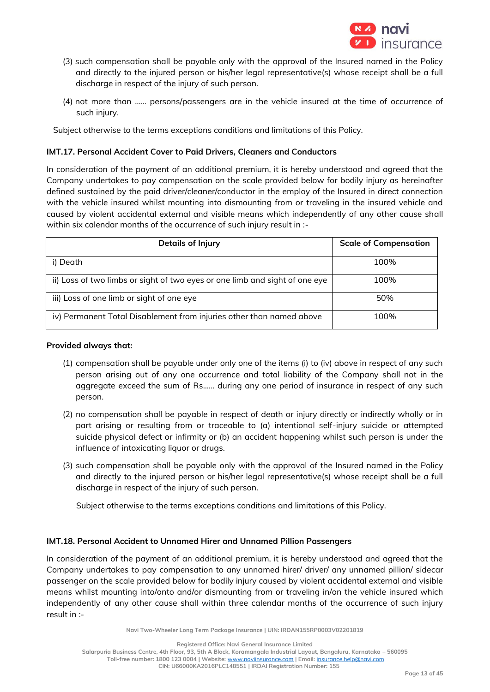

- (3) such compensation shall be payable only with the approval of the Insured named in the Policy and directly to the injured person or his/her legal representative(s) whose receipt shall be a full discharge in respect of the injury of such person.
- (4) not more than …... persons/passengers are in the vehicle insured at the time of occurrence of such injury.

Subject otherwise to the terms exceptions conditions and limitations of this Policy.

# **IMT.17. Personal Accident Cover to Paid Drivers, Cleaners and Conductors**

In consideration of the payment of an additional premium, it is hereby understood and agreed that the Company undertakes to pay compensation on the scale provided below for bodily injury as hereinafter defined sustained by the paid driver/cleaner/conductor in the employ of the Insured in direct connection with the vehicle insured whilst mounting into dismounting from or traveling in the insured vehicle and caused by violent accidental external and visible means which independently of any other cause shall within six calendar months of the occurrence of such injury result in :-

| Details of Injury                                                           | <b>Scale of Compensation</b> |
|-----------------------------------------------------------------------------|------------------------------|
| i) Death                                                                    | 100%                         |
| ii) Loss of two limbs or sight of two eyes or one limb and sight of one eye | 100%                         |
| iii) Loss of one limb or sight of one eye                                   | 50%                          |
| iv) Permanent Total Disablement from injuries other than named above        | 100%                         |

### **Provided always that:**

- (1) compensation shall be payable under only one of the items (i) to (iv) above in respect of any such person arising out of any one occurrence and total liability of the Company shall not in the aggregate exceed the sum of Rs...... during any one period of insurance in respect of any such person.
- (2) no compensation shall be payable in respect of death or injury directly or indirectly wholly or in part arising or resulting from or traceable to (a) intentional self-injury suicide or attempted suicide physical defect or infirmity or (b) an accident happening whilst such person is under the influence of intoxicating liquor or drugs.
- (3) such compensation shall be payable only with the approval of the Insured named in the Policy and directly to the injured person or his/her legal representative(s) whose receipt shall be a full discharge in respect of the injury of such person.

Subject otherwise to the terms exceptions conditions and limitations of this Policy.

### **IMT.18. Personal Accident to Unnamed Hirer and Unnamed Pillion Passengers**

In consideration of the payment of an additional premium, it is hereby understood and agreed that the Company undertakes to pay compensation to any unnamed hirer/ driver/ any unnamed pillion/ sidecar passenger on the scale provided below for bodily injury caused by violent accidental external and visible means whilst mounting into/onto and/or dismounting from or traveling in/on the vehicle insured which independently of any other cause shall within three calendar months of the occurrence of such injury result in :-

**Navi Two-Wheeler Long Term Package Insurance | UIN: IRDAN155RP0003V02201819**

**Registered Office: Navi General Insurance Limited**

**Salarpuria Business Centre, 4th Floor, 93, 5th A Block, Koramangala Industrial Layout, Bengaluru, Karnataka – 560095 Toll-free number: 1800 123 0004 | Website:** [www.naviinsurance.com](http://www.naviinsurance.com/) **| Email:** [insurance.help@navi.com](mailto:insurance.help@navi.com)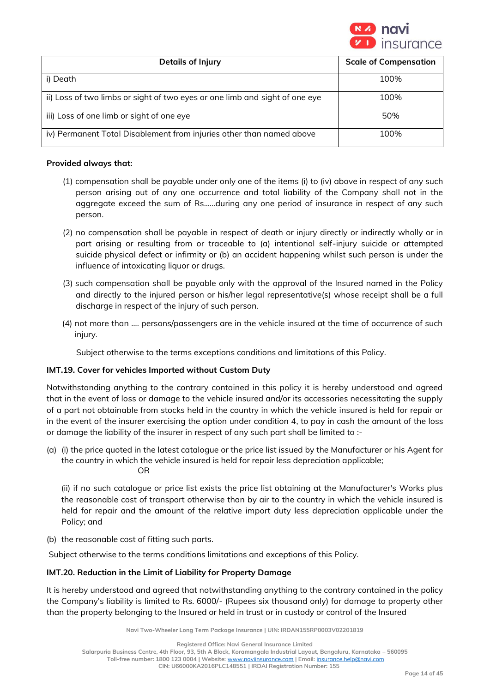

| Details of Injury                                                           | <b>Scale of Compensation</b> |
|-----------------------------------------------------------------------------|------------------------------|
| i) Death                                                                    | 100%                         |
| ii) Loss of two limbs or sight of two eyes or one limb and sight of one eye | 100%                         |
| iii) Loss of one limb or sight of one eye                                   | 50%                          |
| iv) Permanent Total Disablement from injuries other than named above        | 100%                         |

## **Provided always that:**

- (1) compensation shall be payable under only one of the items (i) to (iv) above in respect of any such person arising out of any one occurrence and total liability of the Company shall not in the aggregate exceed the sum of Rs......during any one period of insurance in respect of any such person.
- (2) no compensation shall be payable in respect of death or injury directly or indirectly wholly or in part arising or resulting from or traceable to (a) intentional self-injury suicide or attempted suicide physical defect or infirmity or (b) an accident happening whilst such person is under the influence of intoxicating liquor or drugs.
- (3) such compensation shall be payable only with the approval of the Insured named in the Policy and directly to the injured person or his/her legal representative(s) whose receipt shall be a full discharge in respect of the injury of such person.
- (4) not more than …. persons/passengers are in the vehicle insured at the time of occurrence of such injury.

Subject otherwise to the terms exceptions conditions and limitations of this Policy.

# **IMT.19. Cover for vehicles Imported without Custom Duty**

Notwithstanding anything to the contrary contained in this policy it is hereby understood and agreed that in the event of loss or damage to the vehicle insured and/or its accessories necessitating the supply of a part not obtainable from stocks held in the country in which the vehicle insured is held for repair or in the event of the insurer exercising the option under condition 4, to pay in cash the amount of the loss or damage the liability of the insurer in respect of any such part shall be limited to :-

(a) (i) the price quoted in the latest catalogue or the price list issued by the Manufacturer or his Agent for the country in which the vehicle insured is held for repair less depreciation applicable; OR

(ii) if no such catalogue or price list exists the price list obtaining at the Manufacturer's Works plus the reasonable cost of transport otherwise than by air to the country in which the vehicle insured is held for repair and the amount of the relative import duty less depreciation applicable under the Policy; and

(b) the reasonable cost of fitting such parts.

Subject otherwise to the terms conditions limitations and exceptions of this Policy.

# **IMT.20. Reduction in the Limit of Liability for Property Damage**

It is hereby understood and agreed that notwithstanding anything to the contrary contained in the policy the Company's liability is limited to Rs. 6000/- (Rupees six thousand only) for damage to property other than the property belonging to the Insured or held in trust or in custody or control of the Insured

**Navi Two-Wheeler Long Term Package Insurance | UIN: IRDAN155RP0003V02201819**

**Registered Office: Navi General Insurance Limited**

**Salarpuria Business Centre, 4th Floor, 93, 5th A Block, Koramangala Industrial Layout, Bengaluru, Karnataka – 560095**

**Toll-free number: 1800 123 0004 | Website:** [www.naviinsurance.com](http://www.naviinsurance.com/) **| Email:** [insurance.help@navi.com](mailto:insurance.help@navi.com)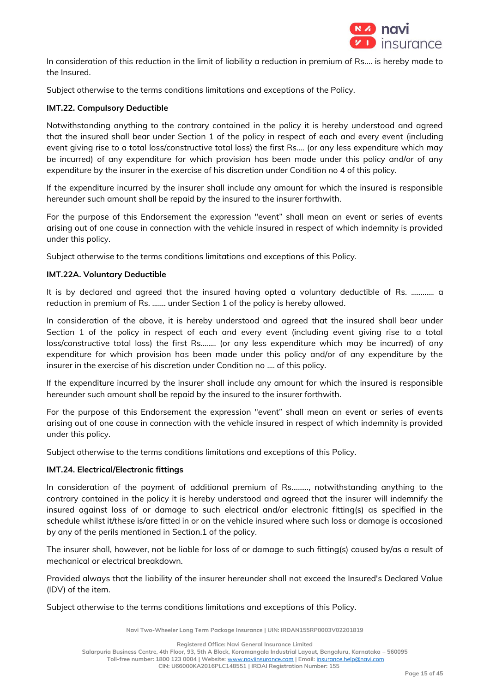

In consideration of this reduction in the limit of liability a reduction in premium of Rs…. is hereby made to the Insured.

Subject otherwise to the terms conditions limitations and exceptions of the Policy.

# **IMT.22. Compulsory Deductible**

Notwithstanding anything to the contrary contained in the policy it is hereby understood and agreed that the insured shall bear under Section 1 of the policy in respect of each and every event (including event giving rise to a total loss/constructive total loss) the first Rs.... (or any less expenditure which may be incurred) of any expenditure for which provision has been made under this policy and/or of any expenditure by the insurer in the exercise of his discretion under Condition no 4 of this policy.

If the expenditure incurred by the insurer shall include any amount for which the insured is responsible hereunder such amount shall be repaid by the insured to the insurer forthwith.

For the purpose of this Endorsement the expression "event" shall mean an event or series of events arising out of one cause in connection with the vehicle insured in respect of which indemnity is provided under this policy.

Subject otherwise to the terms conditions limitations and exceptions of this Policy.

### **IMT.22A. Voluntary Deductible**

It is by declared and agreed that the insured having opted a voluntary deductible of Rs. ………… a reduction in premium of Rs. ……. under Section 1 of the policy is hereby allowed.

In consideration of the above, it is hereby understood and agreed that the insured shall bear under Section 1 of the policy in respect of each and every event (including event giving rise to a total loss/constructive total loss) the first Rs.……. (or any less expenditure which may be incurred) of any expenditure for which provision has been made under this policy and/or of any expenditure by the insurer in the exercise of his discretion under Condition no …. of this policy.

If the expenditure incurred by the insurer shall include any amount for which the insured is responsible hereunder such amount shall be repaid by the insured to the insurer forthwith.

For the purpose of this Endorsement the expression "event" shall mean an event or series of events arising out of one cause in connection with the vehicle insured in respect of which indemnity is provided under this policy.

Subject otherwise to the terms conditions limitations and exceptions of this Policy.

### **IMT.24. Electrical/Electronic fittings**

In consideration of the payment of additional premium of Rs………, notwithstanding anything to the contrary contained in the policy it is hereby understood and agreed that the insurer will indemnify the insured against loss of or damage to such electrical and/or electronic fitting(s) as specified in the schedule whilst it/these is/are fitted in or on the vehicle insured where such loss or damage is occasioned by any of the perils mentioned in Section.1 of the policy.

The insurer shall, however, not be liable for loss of or damage to such fitting(s) caused by/as a result of mechanical or electrical breakdown.

Provided always that the liability of the insurer hereunder shall not exceed the Insured's Declared Value (IDV) of the item.

Subject otherwise to the terms conditions limitations and exceptions of this Policy.

**Navi Two-Wheeler Long Term Package Insurance | UIN: IRDAN155RP0003V02201819**

**Registered Office: Navi General Insurance Limited**

**Toll-free number: 1800 123 0004 | Website:** [www.naviinsurance.com](http://www.naviinsurance.com/) **| Email:** [insurance.help@navi.com](mailto:insurance.help@navi.com)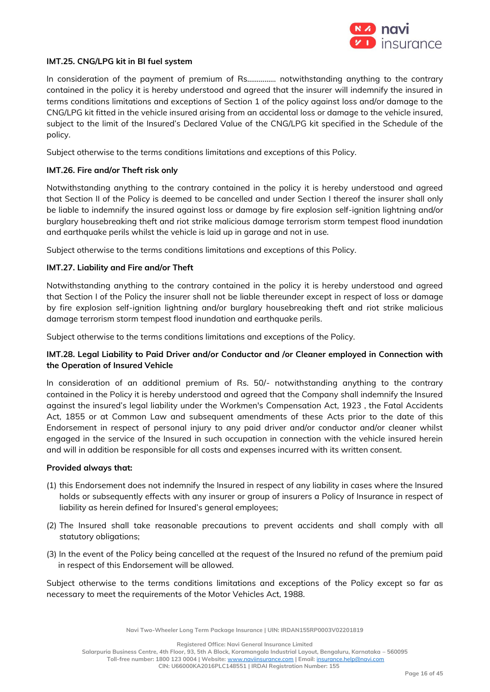

### **IMT.25. CNG/LPG kit in BI fuel system**

In consideration of the payment of premium of Rs…………… notwithstanding anything to the contrary contained in the policy it is hereby understood and agreed that the insurer will indemnify the insured in terms conditions limitations and exceptions of Section 1 of the policy against loss and/or damage to the CNG/LPG kit fitted in the vehicle insured arising from an accidental loss or damage to the vehicle insured, subject to the limit of the Insured's Declared Value of the CNG/LPG kit specified in the Schedule of the policy.

Subject otherwise to the terms conditions limitations and exceptions of this Policy.

### **IMT.26. Fire and/or Theft risk only**

Notwithstanding anything to the contrary contained in the policy it is hereby understood and agreed that Section II of the Policy is deemed to be cancelled and under Section I thereof the insurer shall only be liable to indemnify the insured against loss or damage by fire explosion self-ignition lightning and/or burglary housebreaking theft and riot strike malicious damage terrorism storm tempest flood inundation and earthquake perils whilst the vehicle is laid up in garage and not in use.

Subject otherwise to the terms conditions limitations and exceptions of this Policy.

### **IMT.27. Liability and Fire and/or Theft**

Notwithstanding anything to the contrary contained in the policy it is hereby understood and agreed that Section I of the Policy the insurer shall not be liable thereunder except in respect of loss or damage by fire explosion self-ignition lightning and/or burglary housebreaking theft and riot strike malicious damage terrorism storm tempest flood inundation and earthquake perils.

Subject otherwise to the terms conditions limitations and exceptions of the Policy.

# **IMT.28. Legal Liability to Paid Driver and/or Conductor and /or Cleaner employed in Connection with the Operation of Insured Vehicle**

In consideration of an additional premium of Rs. 50/- notwithstanding anything to the contrary contained in the Policy it is hereby understood and agreed that the Company shall indemnify the Insured against the insured's legal liability under the Workmen's Compensation Act, 1923 , the Fatal Accidents Act, 1855 or at Common Law and subsequent amendments of these Acts prior to the date of this Endorsement in respect of personal injury to any paid driver and/or conductor and/or cleaner whilst engaged in the service of the Insured in such occupation in connection with the vehicle insured herein and will in addition be responsible for all costs and expenses incurred with its written consent.

#### **Provided always that:**

- (1) this Endorsement does not indemnify the Insured in respect of any liability in cases where the Insured holds or subsequently effects with any insurer or group of insurers a Policy of Insurance in respect of liability as herein defined for Insured's general employees;
- (2) The Insured shall take reasonable precautions to prevent accidents and shall comply with all statutory obligations;
- (3) In the event of the Policy being cancelled at the request of the Insured no refund of the premium paid in respect of this Endorsement will be allowed.

Subject otherwise to the terms conditions limitations and exceptions of the Policy except so far as necessary to meet the requirements of the Motor Vehicles Act, 1988.

**Navi Two-Wheeler Long Term Package Insurance | UIN: IRDAN155RP0003V02201819**

**Registered Office: Navi General Insurance Limited**

**Salarpuria Business Centre, 4th Floor, 93, 5th A Block, Koramangala Industrial Layout, Bengaluru, Karnataka – 560095**

**Toll-free number: 1800 123 0004 | Website:** [www.naviinsurance.com](http://www.naviinsurance.com/) **| Email:** [insurance.help@navi.com](mailto:insurance.help@navi.com)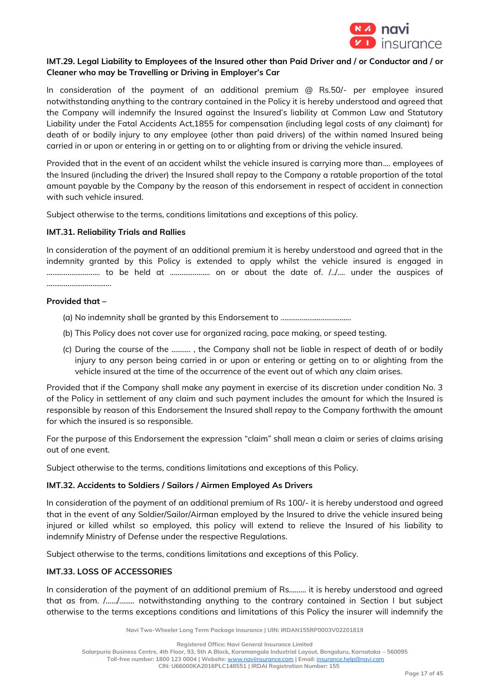

# **IMT.29. Legal Liability to Employees of the Insured other than Paid Driver and / or Conductor and / or Cleaner who may be Travelling or Driving in Employer's Car**

In consideration of the payment of an additional premium  $\textcircled{a}$  Rs.50/- per employee insured notwithstanding anything to the contrary contained in the Policy it is hereby understood and agreed that the Company will indemnify the Insured against the Insured's liability at Common Law and Statutory Liability under the Fatal Accidents Act,1855 for compensation (including legal costs of any claimant) for death of or bodily injury to any employee (other than paid drivers) of the within named Insured being carried in or upon or entering in or getting on to or alighting from or driving the vehicle insured.

Provided that in the event of an accident whilst the vehicle insured is carrying more than.... employees of the Insured (including the driver) the Insured shall repay to the Company a ratable proportion of the total amount payable by the Company by the reason of this endorsement in respect of accident in connection with such vehicle insured.

Subject otherwise to the terms, conditions limitations and exceptions of this policy.

# **IMT.31. Reliability Trials and Rallies**

In consideration of the payment of an additional premium it is hereby understood and agreed that in the indemnity granted by this Policy is extended to apply whilst the vehicle insured is engaged in ………………………. to be held at ………………… on or about the date of. /../…. under the auspices of . The same state of the state of the state of the state of the state of the state of the state of the state of the state of the state of the state of the state of the state of the state of the state of the state of the st

### **Provided that –**

- (a) No indemnity shall be granted by this Endorsement to ……………………………….
- (b) This Policy does not cover use for organized racing, pace making, or speed testing.
- (c) During the course of the ………. , the Company shall not be liable in respect of death of or bodily injury to any person being carried in or upon or entering or getting on to or alighting from the vehicle insured at the time of the occurrence of the event out of which any claim arises.

Provided that if the Company shall make any payment in exercise of its discretion under condition No. 3 of the Policy in settlement of any claim and such payment includes the amount for which the Insured is responsible by reason of this Endorsement the Insured shall repay to the Company forthwith the amount for which the insured is so responsible.

For the purpose of this Endorsement the expression "claim" shall mean a claim or series of claims arising out of one event.

Subject otherwise to the terms, conditions limitations and exceptions of this Policy.

# **IMT.32. Accidents to Soldiers / Sailors / Airmen Employed As Drivers**

In consideration of the payment of an additional premium of Rs 100/- it is hereby understood and agreed that in the event of any Soldier/Sailor/Airman employed by the Insured to drive the vehicle insured being injured or killed whilst so employed, this policy will extend to relieve the Insured of his liability to indemnify Ministry of Defense under the respective Regulations.

Subject otherwise to the terms, conditions limitations and exceptions of this Policy.

# **IMT.33. LOSS OF ACCESSORIES**

In consideration of the payment of an additional premium of Rs......... it is hereby understood and agreed that as from. /….../…..... notwithstanding anything to the contrary contained in Section I but subject otherwise to the terms exceptions conditions and limitations of this Policy the insurer will indemnify the

**Navi Two-Wheeler Long Term Package Insurance | UIN: IRDAN155RP0003V02201819**

**Registered Office: Navi General Insurance Limited**

**Toll-free number: 1800 123 0004 | Website:** [www.naviinsurance.com](http://www.naviinsurance.com/) **| Email:** [insurance.help@navi.com](mailto:insurance.help@navi.com)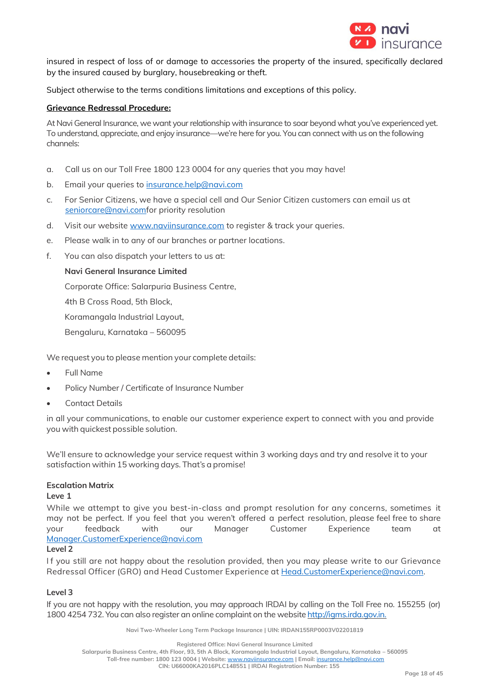

insured in respect of loss of or damage to accessories the property of the insured, specifically declared by the insured caused by burglary, housebreaking or theft.

Subject otherwise to the terms conditions limitations and exceptions of this policy.

# **Grievance Redressal Procedure:**

At Navi General Insurance, we want your relationship with insurance to soar beyond what you've experienced yet. To understand, appreciate, and enjoy insurance—we're here for you. You can connect with us on the following channels:

- a. Call us on our Toll Free 1800 123 0004 for any queries that you may have!
- b. Email your queries to [insurance.help@navi.com](mailto:insurance.help@navi.com)
- c. For Senior Citizens, we have a special cell and Our Senior Citizen customers can email us at [seniorcare@navi.comf](mailto:seniorcare@navi.com)or priority resolution
- d. Visit our website [www.naviinsurance.com](http://www.naviinsurance.com/) to register & track your queries.
- e. Please walk in to any of our branches or partner locations.
- f. You can also dispatch your letters to us at:

### **Navi General Insurance Limited**

Corporate Office: Salarpuria Business Centre,

4th B Cross Road, 5th Block,

Koramangala Industrial Layout,

Bengaluru, Karnataka – 560095

We request you to please mention your complete details:

- Full Name
- Policy Number / Certificate of Insurance Number
- Contact Details

in all your communications, to enable our customer experience expert to connect with you and provide you with quickest possible solution.

We'll ensure to acknowledge your service request within 3 working days and try and resolve it to your satisfaction within 15 working days. That's a promise!

### **Escalation Matrix**

### **Leve 1**

While we attempt to give you best-in-class and prompt resolution for any concerns, sometimes it may not be perfect. If you feel that you weren't offered a perfect resolution, please feel free to share your feedback with our Manager Customer Experience team at Manager.CustomerExperience@navi.com

### **Level 2**

If you still are not happy about the resolution provided, then you may please write to our Grievance Redressal Officer (GRO) and Head Customer Experience a[t Head.CustomerExperience@navi.com.](mailto:Head.CustomerExperience@cocogeneralinsurance.com)

### **Level 3**

If you are not happy with the resolution, you may approach IRDAI by calling on the Toll Free no. 155255 (or) 1800 4254 732. You can also register an online complaint on the website [http://igms.irda.gov.in.](http://igms.irda.gov.in/)

**Navi Two-Wheeler Long Term Package Insurance | UIN: IRDAN155RP0003V02201819**

**Registered Office: Navi General Insurance Limited**

**Salarpuria Business Centre, 4th Floor, 93, 5th A Block, Koramangala Industrial Layout, Bengaluru, Karnataka – 560095**

**Toll-free number: 1800 123 0004 | Website:** [www.naviinsurance.com](http://www.naviinsurance.com/) **| Email:** [insurance.help@navi.com](mailto:insurance.help@navi.com)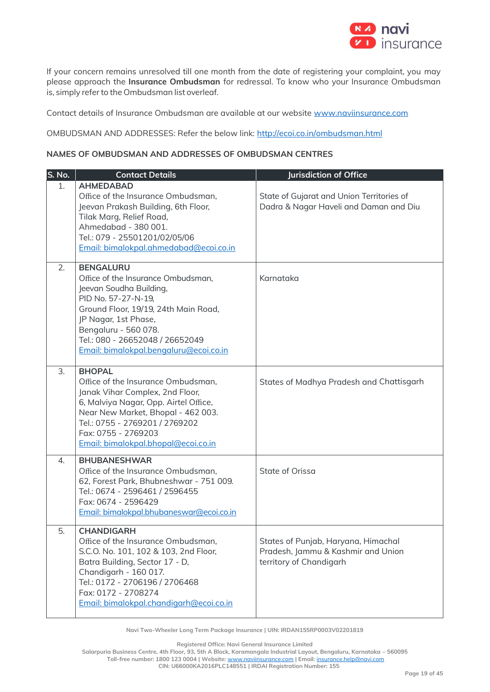

If your concern remains unresolved till one month from the date of registering your complaint, you may please approach the **Insurance Ombudsman** for redressal. To know who your Insurance Ombudsman is, simply referto the Ombudsman list overleaf.

Contact details of Insurance Ombudsman are available at our website [www.naviinsurance.com](http://www.naviinsurance.com/)

OMBUDSMAN AND ADDRESSES: Refer the below link:<http://ecoi.co.in/ombudsman.html>

### **NAMES OF OMBUDSMAN AND ADDRESSES OF OMBUDSMAN CENTRES**

| S. No. | <b>Contact Details</b>                                                                                                                                                                                                                                                        | <b>Jurisdiction of Office</b>                                                                        |
|--------|-------------------------------------------------------------------------------------------------------------------------------------------------------------------------------------------------------------------------------------------------------------------------------|------------------------------------------------------------------------------------------------------|
| 1.     | <b>AHMEDABAD</b><br>Office of the Insurance Ombudsman,<br>Jeevan Prakash Building, 6th Floor,<br>Tilak Marg, Relief Road,<br>Ahmedabad - 380 001.<br>Tel.: 079 - 25501201/02/05/06<br>Email: bimalokpal.ahmedabad@ecoi.co.in                                                  | State of Gujarat and Union Territories of<br>Dadra & Nagar Haveli and Daman and Diu                  |
| 2.     | <b>BENGALURU</b><br>Office of the Insurance Ombudsman,<br>Jeevan Soudha Building,<br>PID No. 57-27-N-19,<br>Ground Floor, 19/19, 24th Main Road,<br>JP Nagar, 1st Phase,<br>Bengaluru - 560 078.<br>Tel.: 080 - 26652048 / 26652049<br>Email: bimalokpal.bengaluru@ecoi.co.in | Karnataka                                                                                            |
| 3.     | <b>BHOPAL</b><br>Office of the Insurance Ombudsman,<br>Janak Vihar Complex, 2nd Floor,<br>6, Malviya Nagar, Opp. Airtel Office,<br>Near New Market, Bhopal - 462 003.<br>Tel.: 0755 - 2769201 / 2769202<br>Fax: 0755 - 2769203<br>Email: bimalokpal.bhopal@ecoi.co.in         | States of Madhya Pradesh and Chattisgarh                                                             |
| 4.     | <b>BHUBANESHWAR</b><br>Office of the Insurance Ombudsman,<br>62, Forest Park, Bhubneshwar - 751 009.<br>Tel.: 0674 - 2596461 / 2596455<br>Fax: 0674 - 2596429<br>Email: bimalokpal.bhubaneswar@ecoi.co.in                                                                     | State of Orissa                                                                                      |
| 5.     | <b>CHANDIGARH</b><br>Office of the Insurance Ombudsman,<br>S.C.O. No. 101, 102 & 103, 2nd Floor,<br>Batra Building, Sector 17 - D,<br>Chandigarh - 160 017.<br>Tel.: 0172 - 2706196 / 2706468<br>Fax: 0172 - 2708274<br>Email: bimalokpal.chandigarh@ecoi.co.in               | States of Punjab, Haryana, Himachal<br>Pradesh, Jammu & Kashmir and Union<br>territory of Chandigarh |

**Navi Two-Wheeler Long Term Package Insurance | UIN: IRDAN155RP0003V02201819**

**Registered Office: Navi General Insurance Limited**

**Salarpuria Business Centre, 4th Floor, 93, 5th A Block, Koramangala Industrial Layout, Bengaluru, Karnataka – 560095**

**Toll-free number: 1800 123 0004 | Website:** [www.naviinsurance.com](http://www.naviinsurance.com/) **| Email:** [insurance.help@navi.com](mailto:insurance.help@navi.com)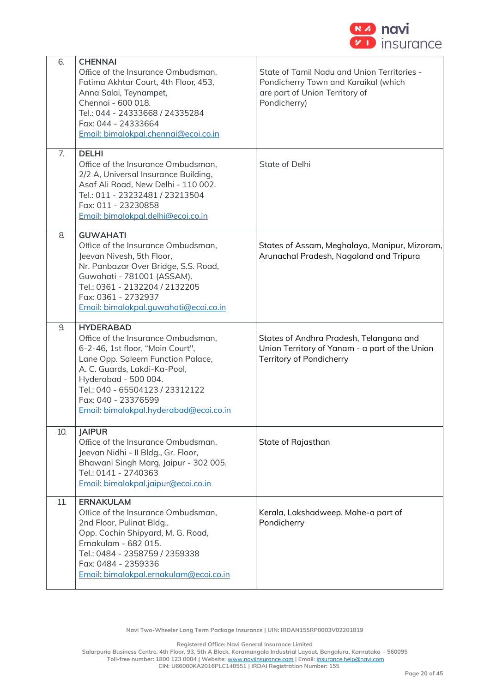

| 6.  | <b>CHENNAI</b><br>Office of the Insurance Ombudsman,<br>Fatima Akhtar Court, 4th Floor, 453,<br>Anna Salai, Teynampet,<br>Chennai - 600 018.<br>Tel.: 044 - 24333668 / 24335284<br>Fax: 044 - 24333664<br>Email: bimalokpal.chennai@ecoi.co.in                                              | State of Tamil Nadu and Union Territories -<br>Pondicherry Town and Karaikal (which<br>are part of Union Territory of<br>Pondicherry) |
|-----|---------------------------------------------------------------------------------------------------------------------------------------------------------------------------------------------------------------------------------------------------------------------------------------------|---------------------------------------------------------------------------------------------------------------------------------------|
| 7.  | <b>DELHI</b><br>Office of the Insurance Ombudsman,<br>2/2 A, Universal Insurance Building,<br>Asaf Ali Road, New Delhi - 110 002.<br>Tel.: 011 - 23232481 / 23213504<br>Fax: 011 - 23230858<br>Email: bimalokpal.delhi@ecoi.co.in                                                           | State of Delhi                                                                                                                        |
| 8.  | <b>GUWAHATI</b><br>Office of the Insurance Ombudsman,<br>Jeevan Nivesh, 5th Floor,<br>Nr. Panbazar Over Bridge, S.S. Road,<br>Guwahati - 781001 (ASSAM).<br>Tel.: 0361 - 2132204 / 2132205<br>Fax: 0361 - 2732937<br>Email: bimalokpal.guwahati@ecoi.co.in                                  | States of Assam, Meghalaya, Manipur, Mizoram,<br>Arunachal Pradesh, Nagaland and Tripura                                              |
| 9.  | <b>HYDERABAD</b><br>Office of the Insurance Ombudsman,<br>6-2-46, 1st floor, "Moin Court",<br>Lane Opp. Saleem Function Palace,<br>A. C. Guards, Lakdi-Ka-Pool,<br>Hyderabad - 500 004.<br>Tel.: 040 - 65504123 / 23312122<br>Fax: 040 - 23376599<br>Email: bimalokpal.hyderabad@ecoi.co.in | States of Andhra Pradesh, Telangana and<br>Union Territory of Yanam - a part of the Union<br><b>Territory of Pondicherry</b>          |
| 10. | <b>JAIPUR</b><br>Office of the Insurance Ombudsman,<br>Jeevan Nidhi - Il Bldg., Gr. Floor,<br>Bhawani Singh Marg, Jaipur - 302 005.<br>Tel.: 0141 - 2740363<br>Email: bimalokpal.jaipur@ecoi.co.in                                                                                          | State of Rajasthan                                                                                                                    |
| 11. |                                                                                                                                                                                                                                                                                             |                                                                                                                                       |

**Navi Two-Wheeler Long Term Package Insurance | UIN: IRDAN155RP0003V02201819**

**Registered Office: Navi General Insurance Limited**

**Salarpuria Business Centre, 4th Floor, 93, 5th A Block, Koramangala Industrial Layout, Bengaluru, Karnataka – 560095**

**Toll-free number: 1800 123 0004 | Website:** [www.naviinsurance.com](http://www.naviinsurance.com/) **| Email:** [insurance.help@navi.com](mailto:insurance.help@navi.com)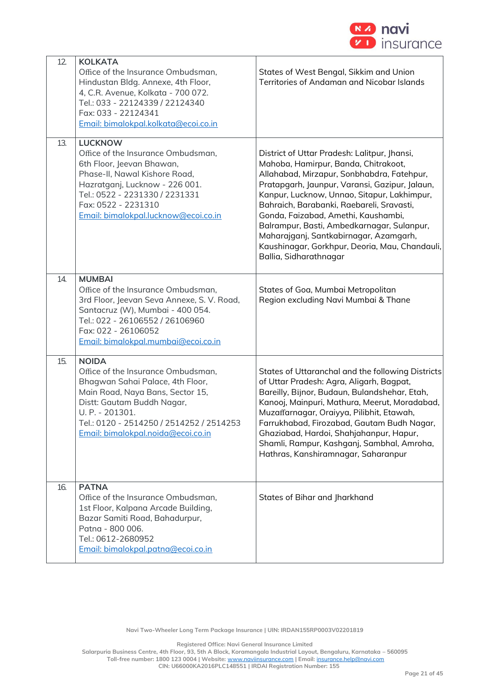

| 12. | <b>KOLKATA</b><br>Office of the Insurance Ombudsman,<br>Hindustan Bldg. Annexe, 4th Floor,<br>4, C.R. Avenue, Kolkata - 700 072.<br>Tel.: 033 - 22124339 / 22124340<br>Fax: 033 - 22124341<br>Email: bimalokpal.kolkata@ecoi.co.in                            | States of West Bengal, Sikkim and Union<br><b>Territories of Andaman and Nicobar Islands</b>                                                                                                                                                                                                                                                                                                                                                                                                |
|-----|---------------------------------------------------------------------------------------------------------------------------------------------------------------------------------------------------------------------------------------------------------------|---------------------------------------------------------------------------------------------------------------------------------------------------------------------------------------------------------------------------------------------------------------------------------------------------------------------------------------------------------------------------------------------------------------------------------------------------------------------------------------------|
| 13. | <b>LUCKNOW</b><br>Office of the Insurance Ombudsman,<br>6th Floor, Jeevan Bhawan,<br>Phase-II, Nawal Kishore Road,<br>Hazratganj, Lucknow - 226 001.<br>Tel.: 0522 - 2231330 / 2231331<br>Fax: 0522 - 2231310<br>Email: bimalokpal.lucknow@ecoi.co.in         | District of Uttar Pradesh: Lalitpur, Jhansi,<br>Mahoba, Hamirpur, Banda, Chitrakoot,<br>Allahabad, Mirzapur, Sonbhabdra, Fatehpur,<br>Pratapgarh, Jaunpur, Varansi, Gazipur, Jalaun,<br>Kanpur, Lucknow, Unnao, Sitapur, Lakhimpur,<br>Bahraich, Barabanki, Raebareli, Sravasti,<br>Gonda, Faizabad, Amethi, Kaushambi,<br>Balrampur, Basti, Ambedkarnagar, Sulanpur,<br>Maharajganj, Santkabirnagar, Azamgarh,<br>Kaushinagar, Gorkhpur, Deoria, Mau, Chandauli,<br>Ballia, Sidharathnagar |
| 14. | <b>MUMBAI</b><br>Office of the Insurance Ombudsman,<br>3rd Floor, Jeevan Seva Annexe, S. V. Road,<br>Santacruz (W), Mumbai - 400 054.<br>Tel.: 022 - 26106552 / 26106960<br>Fax: 022 - 26106052<br>Email: bimalokpal.mumbai@ecoi.co.in                        | States of Goa, Mumbai Metropolitan<br>Region excluding Navi Mumbai & Thane                                                                                                                                                                                                                                                                                                                                                                                                                  |
| 15. | <b>NOIDA</b><br>Office of the Insurance Ombudsman,<br>Bhagwan Sahai Palace, 4th Floor,<br>Main Road, Naya Bans, Sector 15,<br>Distt: Gautam Buddh Nagar,<br>U. P. - 201301.<br>Tel.: 0120 - 2514250 / 2514252 / 2514253<br>Email: bimalokpal.noida@ecoi.co.in | States of Uttaranchal and the following Districts<br>of Uttar Pradesh: Agra, Aligarh, Bagpat,<br>Bareilly, Bijnor, Budaun, Bulandshehar, Etah,<br>Kanooj, Mainpuri, Mathura, Meerut, Moradabad,<br>Muzaffarnagar, Oraiyya, Pilibhit, Etawah,<br>Farrukhabad, Firozabad, Gautam Budh Nagar,<br>Ghaziabad, Hardoi, Shahjahanpur, Hapur,<br>Shamli, Rampur, Kashganj, Sambhal, Amroha,<br>Hathras, Kanshiramnagar, Saharanpur                                                                  |
| 16. | <b>PATNA</b><br>Office of the Insurance Ombudsman,<br>1st Floor, Kalpana Arcade Building,<br>Bazar Samiti Road, Bahadurpur,<br>Patna - 800 006.<br>Tel.: 0612-2680952<br>Email: bimalokpal.patna@ecoi.co.in                                                   | States of Bihar and Jharkhand                                                                                                                                                                                                                                                                                                                                                                                                                                                               |

**Navi Two-Wheeler Long Term Package Insurance | UIN: IRDAN155RP0003V02201819**

**Registered Office: Navi General Insurance Limited**

**Salarpuria Business Centre, 4th Floor, 93, 5th A Block, Koramangala Industrial Layout, Bengaluru, Karnataka – 560095**

**Toll-free number: 1800 123 0004 | Website:** [www.naviinsurance.com](http://www.naviinsurance.com/) **| Email:** [insurance.help@navi.com](mailto:insurance.help@navi.com)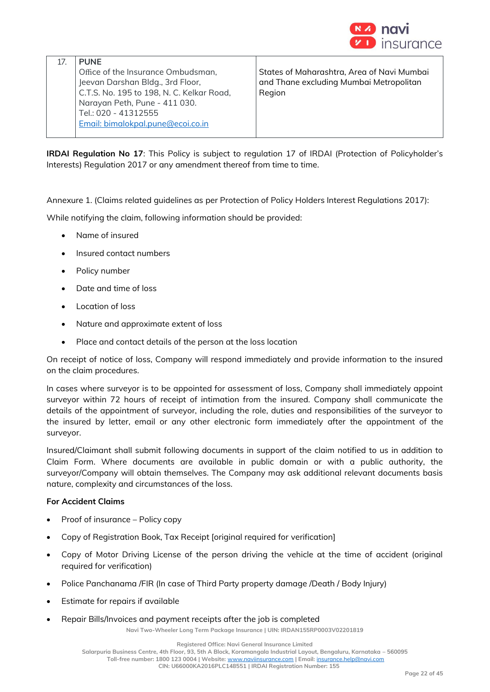

| <b>PUNF</b>                               |                                            |
|-------------------------------------------|--------------------------------------------|
| Office of the Insurance Ombudsman,        | States of Maharashtra, Area of Navi Mumbai |
| Jeevan Darshan Bldg., 3rd Floor,          | and Thane excluding Mumbai Metropolitan    |
| C.T.S. No. 195 to 198, N. C. Kelkar Road, | Region                                     |
| Narayan Peth, Pune - 411 030.             |                                            |
| Tel.: 020 - 41312555                      |                                            |
| Email: bimalokpal.pune@ecoi.co.in         |                                            |
|                                           |                                            |

**IRDAI Regulation No 17**: This Policy is subject to regulation 17 of IRDAI (Protection of Policyholder's Interests) Regulation 2017 or any amendment thereof from time to time.

Annexure 1. (Claims related guidelines as per Protection of Policy Holders Interest Regulations 2017):

While notifying the claim, following information should be provided:

- Name of insured
- Insured contact numbers
- Policy number
- Date and time of loss
- Location of loss
- Nature and approximate extent of loss
- Place and contact details of the person at the loss location

On receipt of notice of loss, Company will respond immediately and provide information to the insured on the claim procedures.

In cases where surveyor is to be appointed for assessment of loss, Company shall immediately appoint surveyor within 72 hours of receipt of intimation from the insured. Company shall communicate the details of the appointment of surveyor, including the role, duties and responsibilities of the surveyor to the insured by letter, email or any other electronic form immediately after the appointment of the surveyor.

Insured/Claimant shall submit following documents in support of the claim notified to us in addition to Claim Form. Where documents are available in public domain or with a public authority, the surveyor/Company will obtain themselves. The Company may ask additional relevant documents basis nature, complexity and circumstances of the loss.

### **For Accident Claims**

- Proof of insurance Policy copy
- Copy of Registration Book, Tax Receipt [original required for verification]
- Copy of Motor Driving License of the person driving the vehicle at the time of accident (original required for verification)
- Police Panchanama /FIR (In case of Third Party property damage /Death / Body Injury)
- Estimate for repairs if available
- Repair Bills/Invoices and payment receipts after the job is completed

**Navi Two-Wheeler Long Term Package Insurance | UIN: IRDAN155RP0003V02201819**

**Registered Office: Navi General Insurance Limited**

**Salarpuria Business Centre, 4th Floor, 93, 5th A Block, Koramangala Industrial Layout, Bengaluru, Karnataka – 560095**

**Toll-free number: 1800 123 0004 | Website:** [www.naviinsurance.com](http://www.naviinsurance.com/) **| Email:** [insurance.help@navi.com](mailto:insurance.help@navi.com)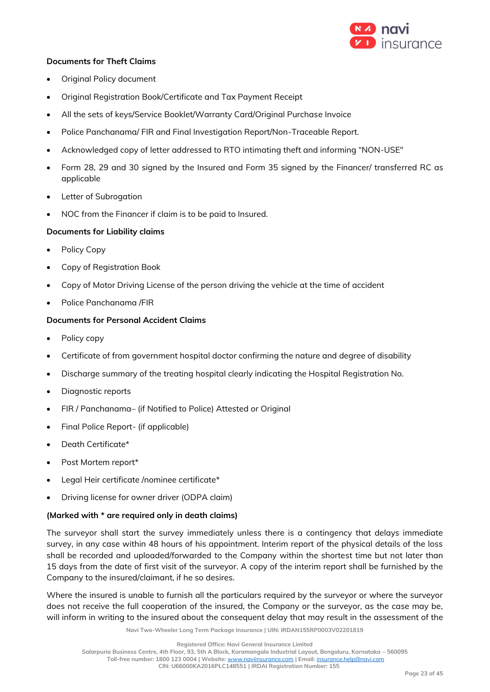

## **Documents for Theft Claims**

- Original Policy document
- Original Registration Book/Certificate and Tax Payment Receipt
- All the sets of keys/Service Booklet/Warranty Card/Original Purchase Invoice
- Police Panchanama/ FIR and Final Investigation Report/Non-Traceable Report.
- Acknowledged copy of letter addressed to RTO intimating theft and informing "NON-USE"
- Form 28, 29 and 30 signed by the Insured and Form 35 signed by the Financer/ transferred RC as applicable
- **Letter of Subrogation**
- NOC from the Financer if claim is to be paid to Insured.

## **Documents for Liability claims**

- Policy Copy
- Copy of Registration Book
- Copy of Motor Driving License of the person driving the vehicle at the time of accident
- Police Panchanama /FIR

## **Documents for Personal Accident Claims**

- Policy copy
- Certificate of from government hospital doctor confirming the nature and degree of disability
- Discharge summary of the treating hospital clearly indicating the Hospital Registration No.
- Diagnostic reports
- FIR / Panchanama– (if Notified to Police) Attested or Original
- Final Police Report- (if applicable)
- Death Certificate\*
- Post Mortem report\*
- Legal Heir certificate /nominee certificate\*
- Driving license for owner driver (ODPA claim)

### **(Marked with \* are required only in death claims)**

The surveyor shall start the survey immediately unless there is a contingency that delays immediate survey, in any case within 48 hours of his appointment. Interim report of the physical details of the loss shall be recorded and uploaded/forwarded to the Company within the shortest time but not later than 15 days from the date of first visit of the surveyor. A copy of the interim report shall be furnished by the Company to the insured/claimant, if he so desires.

Where the insured is unable to furnish all the particulars required by the surveyor or where the surveyor does not receive the full cooperation of the insured, the Company or the surveyor, as the case may be, will inform in writing to the insured about the consequent delay that may result in the assessment of the

**Navi Two-Wheeler Long Term Package Insurance | UIN: IRDAN155RP0003V02201819**

**Toll-free number: 1800 123 0004 | Website:** [www.naviinsurance.com](http://www.naviinsurance.com/) **| Email:** [insurance.help@navi.com](mailto:insurance.help@navi.com)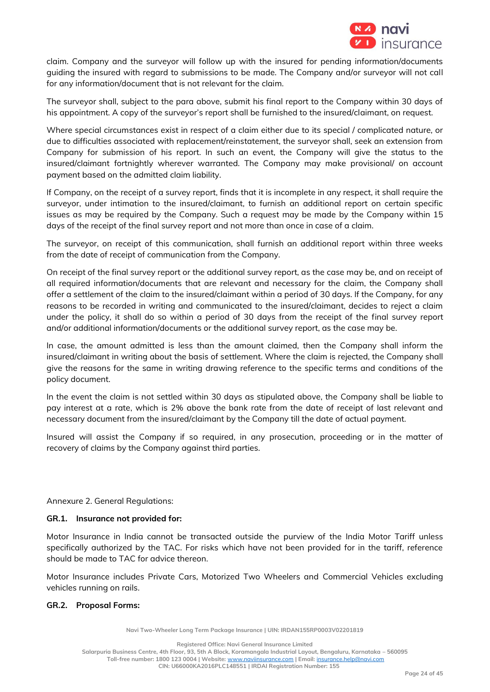

claim. Company and the surveyor will follow up with the insured for pending information/documents guiding the insured with regard to submissions to be made. The Company and/or surveyor will not call for any information/document that is not relevant for the claim.

The surveyor shall, subject to the para above, submit his final report to the Company within 30 days of his appointment. A copy of the surveyor's report shall be furnished to the insured/claimant, on request.

Where special circumstances exist in respect of a claim either due to its special / complicated nature, or due to difficulties associated with replacement/reinstatement, the surveyor shall, seek an extension from Company for submission of his report. In such an event, the Company will give the status to the insured/claimant fortnightly wherever warranted. The Company may make provisional/ on account payment based on the admitted claim liability.

If Company, on the receipt of a survey report, finds that it is incomplete in any respect, it shall require the surveyor, under intimation to the insured/claimant, to furnish an additional report on certain specific issues as may be required by the Company. Such a request may be made by the Company within 15 days of the receipt of the final survey report and not more than once in case of a claim.

The surveyor, on receipt of this communication, shall furnish an additional report within three weeks from the date of receipt of communication from the Company.

On receipt of the final survey report or the additional survey report, as the case may be, and on receipt of all required information/documents that are relevant and necessary for the claim, the Company shall offer a settlement of the claim to the insured/claimant within a period of 30 days. If the Company, for any reasons to be recorded in writing and communicated to the insured/claimant, decides to reject a claim under the policy, it shall do so within a period of 30 days from the receipt of the final survey report and/or additional information/documents or the additional survey report, as the case may be.

In case, the amount admitted is less than the amount claimed, then the Company shall inform the insured/claimant in writing about the basis of settlement. Where the claim is rejected, the Company shall give the reasons for the same in writing drawing reference to the specific terms and conditions of the policy document.

In the event the claim is not settled within 30 days as stipulated above, the Company shall be liable to pay interest at a rate, which is 2% above the bank rate from the date of receipt of last relevant and necessary document from the insured/claimant by the Company till the date of actual payment.

Insured will assist the Company if so required, in any prosecution, proceeding or in the matter of recovery of claims by the Company against third parties.

Annexure 2. General Regulations:

### **GR.1. Insurance not provided for:**

Motor Insurance in India cannot be transacted outside the purview of the India Motor Tariff unless specifically authorized by the TAC. For risks which have not been provided for in the tariff, reference should be made to TAC for advice thereon.

Motor Insurance includes Private Cars, Motorized Two Wheelers and Commercial Vehicles excluding vehicles running on rails.

### **GR.2. Proposal Forms:**

**Navi Two-Wheeler Long Term Package Insurance | UIN: IRDAN155RP0003V02201819**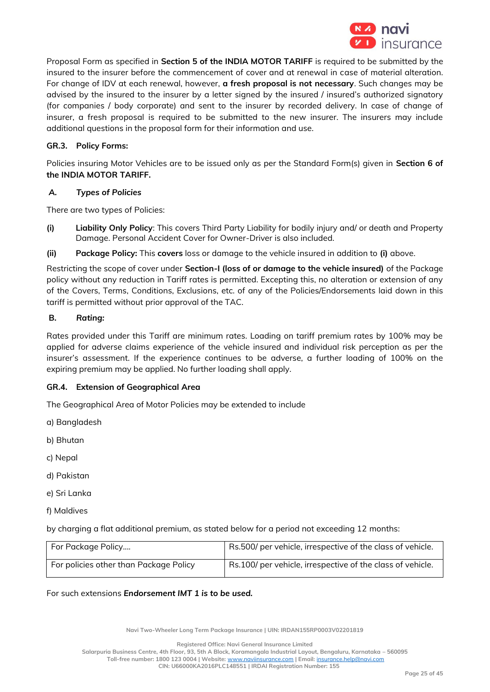

Proposal Form as specified in **Section 5 of the INDIA MOTOR TARIFF** is required to be submitted by the insured to the insurer before the commencement of cover and at renewal in case of material alteration. For change of IDV at each renewal, however, **a fresh proposal is not necessary**. Such changes may be advised by the insured to the insurer by a letter signed by the insured / insured's authorized signatory (for companies / body corporate) and sent to the insurer by recorded delivery. In case of change of insurer, a fresh proposal is required to be submitted to the new insurer. The insurers may include additional questions in the proposal form for their information and use.

## **GR.3. Policy Forms:**

Policies insuring Motor Vehicles are to be issued only as per the Standard Form(s) given in **Section 6 of the INDIA MOTOR TARIFF.**

### *A. Types of Policies*

There are two types of Policies:

- **(i) Liability Only Policy**: This covers Third Party Liability for bodily injury and/ or death and Property Damage. Personal Accident Cover for Owner-Driver is also included.
- **(ii) Package Policy:** This **covers** loss or damage to the vehicle insured in addition to **(i)** above.

Restricting the scope of cover under **Section-I (loss of or damage to the vehicle insured)** of the Package policy without any reduction in Tariff rates is permitted. Excepting this, no alteration or extension of any of the Covers, Terms, Conditions, Exclusions, etc. of any of the Policies/Endorsements laid down in this tariff is permitted without prior approval of the TAC.

### **B.** *Rating:*

Rates provided under this Tariff are minimum rates. Loading on tariff premium rates by 100% may be applied for adverse claims experience of the vehicle insured and individual risk perception as per the insurer's assessment. If the experience continues to be adverse, a further loading of 100% on the expiring premium may be applied. No further loading shall apply.

# **GR.4. Extension of Geographical Area**

The Geographical Area of Motor Policies may be extended to include

- a) Bangladesh
- b) Bhutan
- c) Nepal
- d) Pakistan
- e) Sri Lanka
- f) Maldives

by charging a flat additional premium, as stated below for a period not exceeding 12 months:

| For Package Policy                     | Rs.500/ per vehicle, irrespective of the class of vehicle. |
|----------------------------------------|------------------------------------------------------------|
| For policies other than Package Policy | Rs.100/ per vehicle, irrespective of the class of vehicle. |

For such extensions *Endorsement IMT 1 is to be used.*

**Navi Two-Wheeler Long Term Package Insurance | UIN: IRDAN155RP0003V02201819**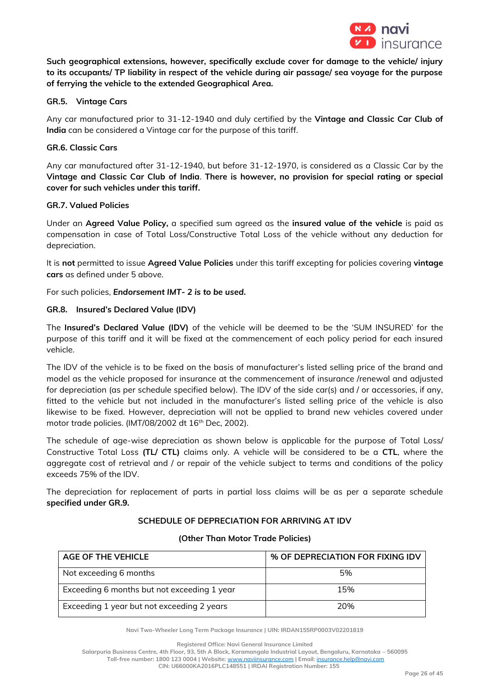

**Such geographical extensions, however, specifically exclude cover for damage to the vehicle/ injury to its occupants/ TP liability in respect of the vehicle during air passage/ sea voyage for the purpose of ferrying the vehicle to the extended Geographical Area.** 

## **GR.5. Vintage Cars**

Any car manufactured prior to 31-12-1940 and duly certified by the **Vintage and Classic Car Club of India** can be considered a Vintage car for the purpose of this tariff.

## **GR.6. Classic Cars**

Any car manufactured after 31-12-1940, but before 31-12-1970, is considered as a Classic Car by the **Vintage and Classic Car Club of India**. **There is however, no provision for special rating or special cover for such vehicles under this tariff.**

### **GR.7. Valued Policies**

Under an **Agreed Value Policy,** a specified sum agreed as the **insured value of the vehicle** is paid as compensation in case of Total Loss/Constructive Total Loss of the vehicle without any deduction for depreciation.

It is **not** permitted to issue **Agreed Value Policies** under this tariff excepting for policies covering **vintage cars** as defined under 5 above.

For such policies, *Endorsement IMT- 2 is to be used***.**

# **GR.8. Insured's Declared Value (IDV)**

The **Insured's Declared Value (IDV)** of the vehicle will be deemed to be the 'SUM INSURED' for the purpose of this tariff and it will be fixed at the commencement of each policy period for each insured vehicle.

The IDV of the vehicle is to be fixed on the basis of manufacturer's listed selling price of the brand and model as the vehicle proposed for insurance at the commencement of insurance /renewal and adjusted for depreciation (as per schedule specified below). The IDV of the side car(s) and / or accessories, if any, fitted to the vehicle but not included in the manufacturer's listed selling price of the vehicle is also likewise to be fixed. However, depreciation will not be applied to brand new vehicles covered under motor trade policies. (IMT/08/2002 dt 16<sup>th</sup> Dec, 2002).

The schedule of age-wise depreciation as shown below is applicable for the purpose of Total Loss/ Constructive Total Loss **(TL/ CTL)** claims only. A vehicle will be considered to be a **CTL**, where the aggregate cost of retrieval and / or repair of the vehicle subject to terms and conditions of the policy exceeds 75% of the IDV.

The depreciation for replacement of parts in partial loss claims will be as per a separate schedule **specified under GR.9.** 

### **SCHEDULE OF DEPRECIATION FOR ARRIVING AT IDV**

| AGE OF THE VEHICLE                          | % OF DEPRECIATION FOR FIXING IDV |
|---------------------------------------------|----------------------------------|
| Not exceeding 6 months                      | 5%                               |
| Exceeding 6 months but not exceeding 1 year | 15%                              |
| Exceeding 1 year but not exceeding 2 years  | 20%                              |

#### **(Other Than Motor Trade Policies)**

**Navi Two-Wheeler Long Term Package Insurance | UIN: IRDAN155RP0003V02201819**

**Registered Office: Navi General Insurance Limited**

**Salarpuria Business Centre, 4th Floor, 93, 5th A Block, Koramangala Industrial Layout, Bengaluru, Karnataka – 560095**

**Toll-free number: 1800 123 0004 | Website:** [www.naviinsurance.com](http://www.naviinsurance.com/) **| Email:** [insurance.help@navi.com](mailto:insurance.help@navi.com)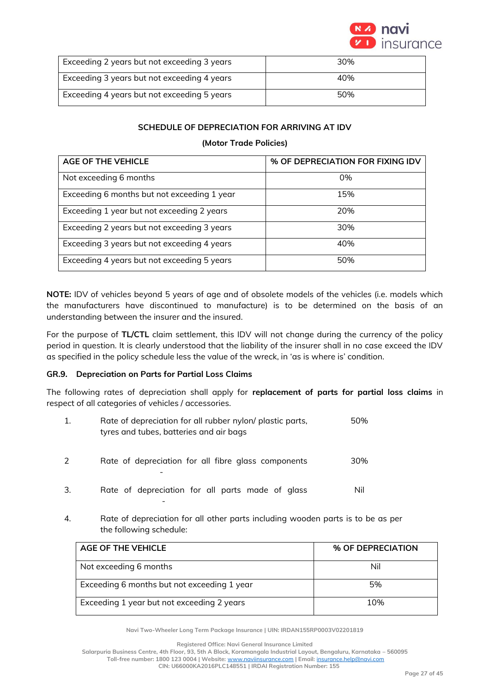

| Exceeding 2 years but not exceeding 3 years | 30% |
|---------------------------------------------|-----|
| Exceeding 3 years but not exceeding 4 years | 40% |
| Exceeding 4 years but not exceeding 5 years | 50% |

# **SCHEDULE OF DEPRECIATION FOR ARRIVING AT IDV**

## **(Motor Trade Policies)**

| <b>AGE OF THE VEHICLE</b>                   | % OF DEPRECIATION FOR FIXING IDV |
|---------------------------------------------|----------------------------------|
| Not exceeding 6 months                      | 0%                               |
| Exceeding 6 months but not exceeding 1 year | 15%                              |
| Exceeding 1 year but not exceeding 2 years  | 20%                              |
| Exceeding 2 years but not exceeding 3 years | 30%                              |
| Exceeding 3 years but not exceeding 4 years | 40%                              |
| Exceeding 4 years but not exceeding 5 years | 50%                              |

**NOTE:** IDV of vehicles beyond 5 years of age and of obsolete models of the vehicles (i.e. models which the manufacturers have discontinued to manufacture) is to be determined on the basis of an understanding between the insurer and the insured.

For the purpose of **TL/CTL** claim settlement, this IDV will not change during the currency of the policy period in question. It is clearly understood that the liability of the insurer shall in no case exceed the IDV as specified in the policy schedule less the value of the wreck, in 'as is where is' condition.

### **GR.9. Depreciation on Parts for Partial Loss Claims**

The following rates of depreciation shall apply for **replacement of parts for partial loss claims** in respect of all categories of vehicles / accessories.

| 1. | Rate of depreciation for all rubber nylon/ plastic parts,<br>tyres and tubes, batteries and air bags | 50% |
|----|------------------------------------------------------------------------------------------------------|-----|
| 2  | Rate of depreciation for all fibre glass components                                                  | 30% |
| 3. | Rate of depreciation for all parts made of glass                                                     | Nil |

4. Rate of depreciation for all other parts including wooden parts is to be as per the following schedule:

| AGE OF THE VEHICLE                          | % OF DEPRECIATION |
|---------------------------------------------|-------------------|
| Not exceeding 6 months                      | Nil               |
| Exceeding 6 months but not exceeding 1 year | 5%                |
| Exceeding 1 year but not exceeding 2 years  | 10%               |

**Navi Two-Wheeler Long Term Package Insurance | UIN: IRDAN155RP0003V02201819**

**Registered Office: Navi General Insurance Limited**

**Salarpuria Business Centre, 4th Floor, 93, 5th A Block, Koramangala Industrial Layout, Bengaluru, Karnataka – 560095**

**Toll-free number: 1800 123 0004 | Website:** [www.naviinsurance.com](http://www.naviinsurance.com/) **| Email:** [insurance.help@navi.com](mailto:insurance.help@navi.com)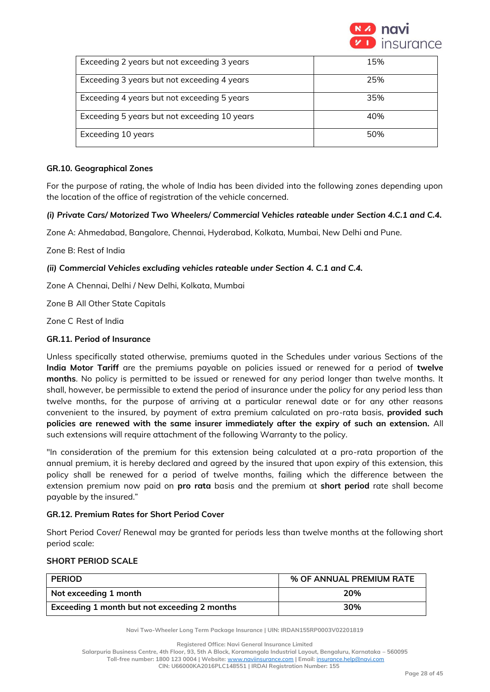

| Exceeding 2 years but not exceeding 3 years  | 15% |
|----------------------------------------------|-----|
| Exceeding 3 years but not exceeding 4 years  | 25% |
| Exceeding 4 years but not exceeding 5 years  | 35% |
| Exceeding 5 years but not exceeding 10 years | 40% |
| Exceeding 10 years                           | 50% |

### **GR.10. Geographical Zones**

For the purpose of rating, the whole of India has been divided into the following zones depending upon the location of the office of registration of the vehicle concerned.

# *(i) Private Cars/ Motorized Two Wheelers/ Commercial Vehicles rateable under Section 4.C.1 and C.4.*

Zone A: Ahmedabad, Bangalore, Chennai, Hyderabad, Kolkata, Mumbai, New Delhi and Pune.

Zone B: Rest of India

# *(ii) Commercial Vehicles excluding vehicles rateable under Section 4. C.1 and C.4.*

Zone A Chennai, Delhi / New Delhi, Kolkata, Mumbai

Zone B All Other State Capitals

Zone C Rest of India

# **GR.11. Period of Insurance**

Unless specifically stated otherwise, premiums quoted in the Schedules under various Sections of the **India Motor Tariff** are the premiums payable on policies issued or renewed for a period of **twelve months**. No policy is permitted to be issued or renewed for any period longer than twelve months. It shall, however, be permissible to extend the period of insurance under the policy for any period less than twelve months, for the purpose of arriving at a particular renewal date or for any other reasons convenient to the insured, by payment of extra premium calculated on pro-rata basis, **provided such policies are renewed with the same insurer immediately after the expiry of such an extension.** All such extensions will require attachment of the following Warranty to the policy.

"In consideration of the premium for this extension being calculated at a pro-rata proportion of the annual premium, it is hereby declared and agreed by the insured that upon expiry of this extension, this policy shall be renewed for a period of twelve months, failing which the difference between the extension premium now paid on **pro rata** basis and the premium at **short period** rate shall become payable by the insured."

# **GR.12. Premium Rates for Short Period Cover**

Short Period Cover/ Renewal may be granted for periods less than twelve months at the following short period scale:

# **SHORT PERIOD SCALE**

| <b>PERIOD</b>                                | % OF ANNUAL PREMIUM RATE |
|----------------------------------------------|--------------------------|
| Not exceeding 1 month                        | 20%                      |
| Exceeding 1 month but not exceeding 2 months | 30%                      |

**Navi Two-Wheeler Long Term Package Insurance | UIN: IRDAN155RP0003V02201819**

**Registered Office: Navi General Insurance Limited**

**Salarpuria Business Centre, 4th Floor, 93, 5th A Block, Koramangala Industrial Layout, Bengaluru, Karnataka – 560095**

**Toll-free number: 1800 123 0004 | Website:** [www.naviinsurance.com](http://www.naviinsurance.com/) **| Email:** [insurance.help@navi.com](mailto:insurance.help@navi.com)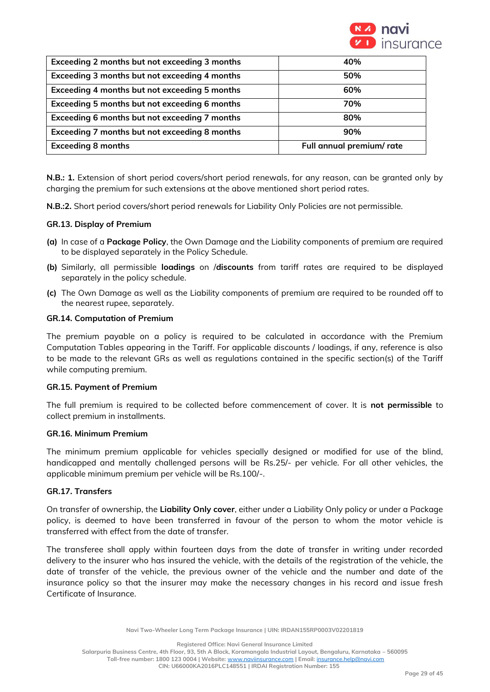

| Exceeding 2 months but not exceeding 3 months | 40%                       |
|-----------------------------------------------|---------------------------|
| Exceeding 3 months but not exceeding 4 months | 50%                       |
| Exceeding 4 months but not exceeding 5 months | 60%                       |
| Exceeding 5 months but not exceeding 6 months | 70%                       |
| Exceeding 6 months but not exceeding 7 months | 80%                       |
| Exceeding 7 months but not exceeding 8 months | 90%                       |
| <b>Exceeding 8 months</b>                     | Full annual premium/ rate |

**N.B.: 1.** Extension of short period covers/short period renewals, for any reason, can be granted only by charging the premium for such extensions at the above mentioned short period rates.

**N.B.:2.** Short period covers/short period renewals for Liability Only Policies are not permissible.

### **GR.13. Display of Premium**

- **(a)** In case of a **Package Policy**, the Own Damage and the Liability components of premium are required to be displayed separately in the Policy Schedule.
- **(b)** Similarly, all permissible **loadings** on /**discounts** from tariff rates are required to be displayed separately in the policy schedule.
- **(c)** The Own Damage as well as the Liability components of premium are required to be rounded off to the nearest rupee, separately.

### **GR.14. Computation of Premium**

The premium payable on a policy is required to be calculated in accordance with the Premium Computation Tables appearing in the Tariff. For applicable discounts / loadings, if any, reference is also to be made to the relevant GRs as well as regulations contained in the specific section(s) of the Tariff while computing premium.

#### **GR.15. Payment of Premium**

The full premium is required to be collected before commencement of cover. It is **not permissible** to collect premium in installments.

#### **GR.16. Minimum Premium**

The minimum premium applicable for vehicles specially designed or modified for use of the blind, handicapped and mentally challenged persons will be Rs.25/- per vehicle. For all other vehicles, the applicable minimum premium per vehicle will be Rs.100/-.

### **GR.17. Transfers**

On transfer of ownership, the **Liability Only cover**, either under a Liability Only policy or under a Package policy, is deemed to have been transferred in favour of the person to whom the motor vehicle is transferred with effect from the date of transfer.

The transferee shall apply within fourteen days from the date of transfer in writing under recorded delivery to the insurer who has insured the vehicle, with the details of the registration of the vehicle, the date of transfer of the vehicle, the previous owner of the vehicle and the number and date of the insurance policy so that the insurer may make the necessary changes in his record and issue fresh Certificate of Insurance.

**Registered Office: Navi General Insurance Limited**

**Salarpuria Business Centre, 4th Floor, 93, 5th A Block, Koramangala Industrial Layout, Bengaluru, Karnataka – 560095 Toll-free number: 1800 123 0004 | Website:** [www.naviinsurance.com](http://www.naviinsurance.com/) **| Email:** [insurance.help@navi.com](mailto:insurance.help@navi.com)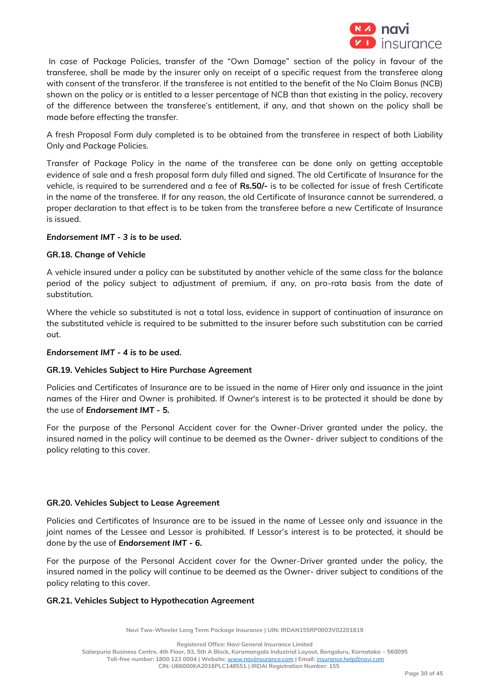

In case of Package Policies, transfer of the "Own Damage" section of the policy in favour of the transferee, shall be made by the insurer only on receipt of a specific request from the transferee along with consent of the transferor. If the transferee is not entitled to the benefit of the No Claim Bonus (NCB) shown on the policy or is entitled to a lesser percentage of NCB than that existing in the policy, recovery of the difference between the transferee's entitlement, if any, and that shown on the policy shall be made before effecting the transfer.

A fresh Proposal Form duly completed is to be obtained from the transferee in respect of both Liability Only and Package Policies.

Transfer of Package Policy in the name of the transferee can be done only on getting acceptable evidence of sale and a fresh proposal form duly filled and signed. The old Certificate of Insurance for the vehicle, is required to be surrendered and a fee of **Rs.50/-** is to be collected for issue of fresh Certificate in the name of the transferee. If for any reason, the old Certificate of Insurance cannot be surrendered, a proper declaration to that effect is to be taken from the transferee before a new Certificate of Insurance is issued.

### *Endorsement IMT - 3 is to be used.*

# **GR.18. Change of Vehicle**

A vehicle insured under a policy can be substituted by another vehicle of the same class for the balance period of the policy subject to adjustment of premium, if any, on pro-rata basis from the date of substitution.

Where the vehicle so substituted is not a total loss, evidence in support of continuation of insurance on the substituted vehicle is required to be submitted to the insurer before such substitution can be carried out.

### *Endorsement IMT - 4 is to be used.*

### **GR.19. Vehicles Subject to Hire Purchase Agreement**

Policies and Certificates of Insurance are to be issued in the name of Hirer only and issuance in the joint names of the Hirer and Owner is prohibited. If Owner's interest is to be protected it should be done by the use of *Endorsement IMT - 5.*

For the purpose of the Personal Accident cover for the Owner-Driver granted under the policy, the insured named in the policy will continue to be deemed as the Owner- driver subject to conditions of the policy relating to this cover.

## **GR.20. Vehicles Subject to Lease Agreement**

Policies and Certificates of Insurance are to be issued in the name of Lessee only and issuance in the joint names of the Lessee and Lessor is prohibited. If Lessor's interest is to be protected, it should be done by the use of *Endorsement IMT - 6.*

For the purpose of the Personal Accident cover for the Owner-Driver granted under the policy, the insured named in the policy will continue to be deemed as the Owner- driver subject to conditions of the policy relating to this cover.

### **GR.21. Vehicles Subject to Hypothecation Agreement**

**Navi Two-Wheeler Long Term Package Insurance | UIN: IRDAN155RP0003V02201819**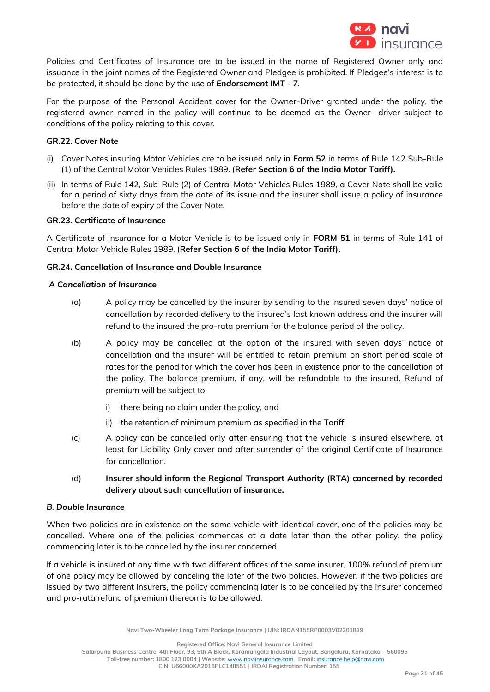

Policies and Certificates of Insurance are to be issued in the name of Registered Owner only and issuance in the joint names of the Registered Owner and Pledgee is prohibited. If Pledgee's interest is to be protected, it should be done by the use of *Endorsement IMT - 7.* 

For the purpose of the Personal Accident cover for the Owner-Driver granted under the policy, the registered owner named in the policy will continue to be deemed as the Owner- driver subject to conditions of the policy relating to this cover.

### **GR.22. Cover Note**

- (i) Cover Notes insuring Motor Vehicles are to be issued only in **Form 52** in terms of Rule 142 Sub-Rule (1) of the Central Motor Vehicles Rules 1989. (**Refer Section 6 of the India Motor Tariff).**
- (ii) In terms of Rule 142, Sub-Rule (2) of Central Motor Vehicles Rules 1989, a Cover Note shall be valid for a period of sixty days from the date of its issue and the insurer shall issue a policy of insurance before the date of expiry of the Cover Note.

## **GR.23. Certificate of Insurance**

A Certificate of Insurance for a Motor Vehicle is to be issued only in **FORM 51** in terms of Rule 141 of Central Motor Vehicle Rules 1989. (**Refer Section 6 of the India Motor Tariff).**

# **GR.24. Cancellation of Insurance and Double Insurance**

#### *A Cancellation of Insurance*

- (a) A policy may be cancelled by the insurer by sending to the insured seven days' notice of cancellation by recorded delivery to the insured's last known address and the insurer will refund to the insured the pro-rata premium for the balance period of the policy.
- (b) A policy may be cancelled at the option of the insured with seven days' notice of cancellation and the insurer will be entitled to retain premium on short period scale of rates for the period for which the cover has been in existence prior to the cancellation of the policy. The balance premium, if any, will be refundable to the insured. Refund of premium will be subject to:
	- i) there being no claim under the policy, and
	- ii) the retention of minimum premium as specified in the Tariff.
- (c) A policy can be cancelled only after ensuring that the vehicle is insured elsewhere, at least for Liability Only cover and after surrender of the original Certificate of Insurance for cancellation.
- (d) **Insurer should inform the Regional Transport Authority (RTA) concerned by recorded delivery about such cancellation of insurance.**

### *B. Double Insurance*

When two policies are in existence on the same vehicle with identical cover, one of the policies may be cancelled. Where one of the policies commences at a date later than the other policy, the policy commencing later is to be cancelled by the insurer concerned.

If a vehicle is insured at any time with two different offices of the same insurer, 100% refund of premium of one policy may be allowed by canceling the later of the two policies. However, if the two policies are issued by two different insurers, the policy commencing later is to be cancelled by the insurer concerned and pro-rata refund of premium thereon is to be allowed.

**Registered Office: Navi General Insurance Limited**

**Salarpuria Business Centre, 4th Floor, 93, 5th A Block, Koramangala Industrial Layout, Bengaluru, Karnataka – 560095 Toll-free number: 1800 123 0004 | Website:** [www.naviinsurance.com](http://www.naviinsurance.com/) **| Email:** [insurance.help@navi.com](mailto:insurance.help@navi.com)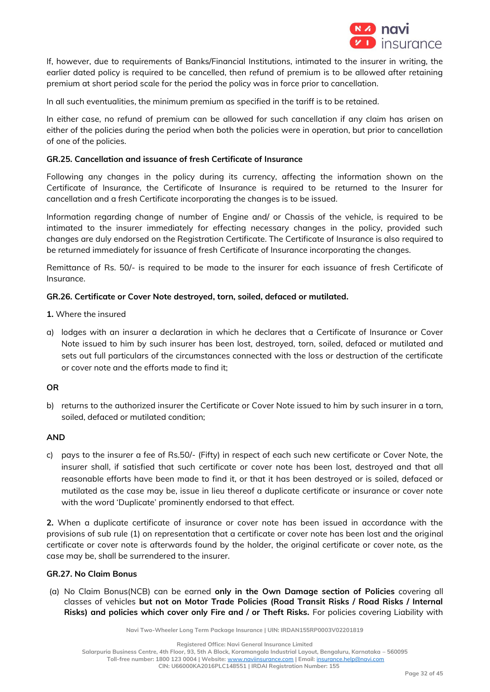

If, however, due to requirements of Banks/Financial Institutions, intimated to the insurer in writing, the earlier dated policy is required to be cancelled, then refund of premium is to be allowed after retaining premium at short period scale for the period the policy was in force prior to cancellation.

In all such eventualities, the minimum premium as specified in the tariff is to be retained.

In either case, no refund of premium can be allowed for such cancellation if any claim has arisen on either of the policies during the period when both the policies were in operation, but prior to cancellation of one of the policies.

## **GR.25. Cancellation and issuance of fresh Certificate of Insurance**

Following any changes in the policy during its currency, affecting the information shown on the Certificate of Insurance, the Certificate of Insurance is required to be returned to the Insurer for cancellation and a fresh Certificate incorporating the changes is to be issued.

Information regarding change of number of Engine and/ or Chassis of the vehicle, is required to be intimated to the insurer immediately for effecting necessary changes in the policy, provided such changes are duly endorsed on the Registration Certificate. The Certificate of Insurance is also required to be returned immediately for issuance of fresh Certificate of Insurance incorporating the changes.

Remittance of Rs. 50/- is required to be made to the insurer for each issuance of fresh Certificate of Insurance.

# **GR.26. Certificate or Cover Note destroyed, torn, soiled, defaced or mutilated.**

- **1.** Where the insured
- a) lodges with an insurer a declaration in which he declares that a Certificate of Insurance or Cover Note issued to him by such insurer has been lost, destroyed, torn, soiled, defaced or mutilated and sets out full particulars of the circumstances connected with the loss or destruction of the certificate or cover note and the efforts made to find it;

### **OR**

b) returns to the authorized insurer the Certificate or Cover Note issued to him by such insurer in a torn, soiled, defaced or mutilated condition;

### **AND**

c) pays to the insurer a fee of Rs.50/- (Fifty) in respect of each such new certificate or Cover Note, the insurer shall, if satisfied that such certificate or cover note has been lost, destroyed and that all reasonable efforts have been made to find it, or that it has been destroyed or is soiled, defaced or mutilated as the case may be, issue in lieu thereof a duplicate certificate or insurance or cover note with the word 'Duplicate' prominently endorsed to that effect.

**2.** When a duplicate certificate of insurance or cover note has been issued in accordance with the provisions of sub rule (1) on representation that a certificate or cover note has been lost and the original certificate or cover note is afterwards found by the holder, the original certificate or cover note, as the case may be, shall be surrendered to the insurer.

### **GR.27. No Claim Bonus**

(a) No Claim Bonus(NCB) can be earned **only in the Own Damage section of Policies** covering all classes of vehicles **but not on Motor Trade Policies (Road Transit Risks / Road Risks / Internal Risks) and policies which cover only Fire and / or Theft Risks.** For policies covering Liability with

**Navi Two-Wheeler Long Term Package Insurance | UIN: IRDAN155RP0003V02201819**

**Registered Office: Navi General Insurance Limited**

**Salarpuria Business Centre, 4th Floor, 93, 5th A Block, Koramangala Industrial Layout, Bengaluru, Karnataka – 560095**

**Toll-free number: 1800 123 0004 | Website:** [www.naviinsurance.com](http://www.naviinsurance.com/) **| Email:** [insurance.help@navi.com](mailto:insurance.help@navi.com)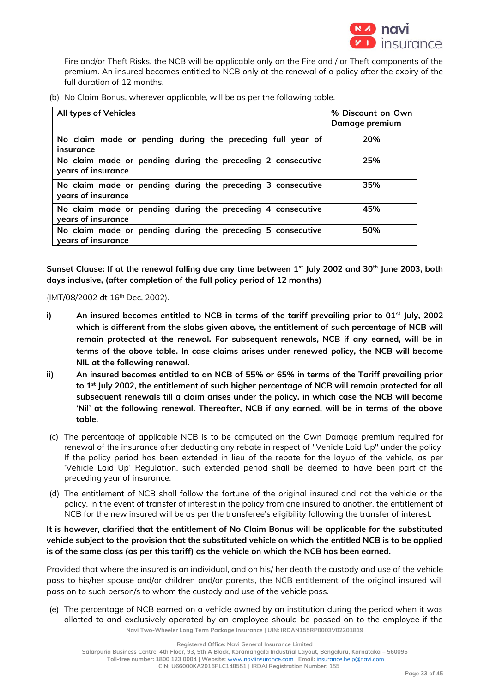

Fire and/or Theft Risks, the NCB will be applicable only on the Fire and / or Theft components of the premium. An insured becomes entitled to NCB only at the renewal of a policy after the expiry of the full duration of 12 months.

(b) No Claim Bonus, wherever applicable, will be as per the following table.

| All types of Vehicles                                                             | % Discount on Own<br>Damage premium |
|-----------------------------------------------------------------------------------|-------------------------------------|
| No claim made or pending during the preceding full year of<br>insurance           | 20%                                 |
| No claim made or pending during the preceding 2 consecutive<br>years of insurance | 25%                                 |
| No claim made or pending during the preceding 3 consecutive<br>years of insurance | 35%                                 |
| No claim made or pending during the preceding 4 consecutive<br>years of insurance | 45%                                 |
| No claim made or pending during the preceding 5 consecutive<br>years of insurance | 50%                                 |

**Sunset Clause: If at the renewal falling due any time between 1st July 2002 and 30th June 2003, both days inclusive, (after completion of the full policy period of 12 months)**

(IMT/08/2002 dt 16<sup>th</sup> Dec, 2002).

- **i) An insured becomes entitled to NCB in terms of the tariff prevailing prior to 01st July, 2002 which is different from the slabs given above, the entitlement of such percentage of NCB will remain protected at the renewal. For subsequent renewals, NCB if any earned, will be in terms of the above table. In case claims arises under renewed policy, the NCB will become NIL at the following renewal.**
- **ii) An insured becomes entitled to an NCB of 55% or 65% in terms of the Tariff prevailing prior to 1st July 2002, the entitlement of such higher percentage of NCB will remain protected for all subsequent renewals till a claim arises under the policy, in which case the NCB will become 'Nil' at the following renewal. Thereafter, NCB if any earned, will be in terms of the above table.**
- (c) The percentage of applicable NCB is to be computed on the Own Damage premium required for renewal of the insurance after deducting any rebate in respect of "Vehicle Laid Up" under the policy. If the policy period has been extended in lieu of the rebate for the layup of the vehicle, as per 'Vehicle Laid Up' Regulation, such extended period shall be deemed to have been part of the preceding year of insurance.
- (d) The entitlement of NCB shall follow the fortune of the original insured and not the vehicle or the policy. In the event of transfer of interest in the policy from one insured to another, the entitlement of NCB for the new insured will be as per the transferee's eligibility following the transfer of interest.

**It is however, clarified that the entitlement of No Claim Bonus will be applicable for the substituted vehicle subject to the provision that the substituted vehicle on which the entitled NCB is to be applied is of the same class (as per this tariff) as the vehicle on which the NCB has been earned.** 

Provided that where the insured is an individual, and on his/ her death the custody and use of the vehicle pass to his/her spouse and/or children and/or parents, the NCB entitlement of the original insured will pass on to such person/s to whom the custody and use of the vehicle pass.

**Navi Two-Wheeler Long Term Package Insurance | UIN: IRDAN155RP0003V02201819** (e) The percentage of NCB earned on a vehicle owned by an institution during the period when it was allotted to and exclusively operated by an employee should be passed on to the employee if the

**Registered Office: Navi General Insurance Limited**

**Toll-free number: 1800 123 0004 | Website:** [www.naviinsurance.com](http://www.naviinsurance.com/) **| Email:** [insurance.help@navi.com](mailto:insurance.help@navi.com)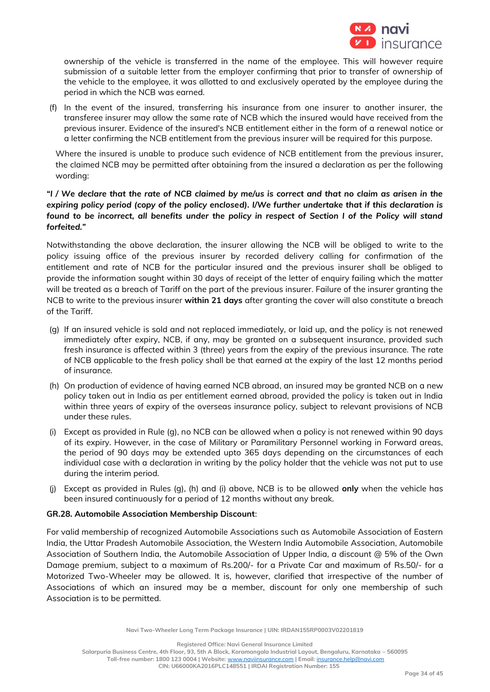

ownership of the vehicle is transferred in the name of the employee. This will however require submission of a suitable letter from the employer confirming that prior to transfer of ownership of the vehicle to the employee, it was allotted to and exclusively operated by the employee during the period in which the NCB was earned.

(f) In the event of the insured, transferring his insurance from one insurer to another insurer, the transferee insurer may allow the same rate of NCB which the insured would have received from the previous insurer. Evidence of the insured's NCB entitlement either in the form of a renewal notice or a letter confirming the NCB entitlement from the previous insurer will be required for this purpose.

Where the insured is unable to produce such evidence of NCB entitlement from the previous insurer, the claimed NCB may be permitted after obtaining from the insured a declaration as per the following wording:

# *"I / We declare that the rate of NCB claimed by me/us is correct and that no claim as arisen in the expiring policy period (copy of the policy enclosed). I/We further undertake that if this declaration is found to be incorrect, all benefits under the policy in respect of Section I of the Policy will stand forfeited."*

Notwithstanding the above declaration, the insurer allowing the NCB will be obliged to write to the policy issuing office of the previous insurer by recorded delivery calling for confirmation of the entitlement and rate of NCB for the particular insured and the previous insurer shall be obliged to provide the information sought within 30 days of receipt of the letter of enquiry failing which the matter will be treated as a breach of Tariff on the part of the previous insurer. Failure of the insurer granting the NCB to write to the previous insurer **within 21 days** after granting the cover will also constitute a breach of the Tariff.

- (g) If an insured vehicle is sold and not replaced immediately, or laid up, and the policy is not renewed immediately after expiry, NCB, if any, may be granted on a subsequent insurance, provided such fresh insurance is affected within 3 (three) years from the expiry of the previous insurance. The rate of NCB applicable to the fresh policy shall be that earned at the expiry of the last 12 months period of insurance.
- (h) On production of evidence of having earned NCB abroad, an insured may be granted NCB on a new policy taken out in India as per entitlement earned abroad, provided the policy is taken out in India within three years of expiry of the overseas insurance policy, subject to relevant provisions of NCB under these rules.
- (i) Except as provided in Rule (g), no NCB can be allowed when a policy is not renewed within 90 days of its expiry. However, in the case of Military or Paramilitary Personnel working in Forward areas, the period of 90 days may be extended upto 365 days depending on the circumstances of each individual case with a declaration in writing by the policy holder that the vehicle was not put to use during the interim period.
- (j) Except as provided in Rules (g), (h) and (i) above, NCB is to be allowed **only** when the vehicle has been insured continuously for a period of 12 months without any break.

# **GR.28. Automobile Association Membership Discount**:

For valid membership of recognized Automobile Associations such as Automobile Association of Eastern India, the Uttar Pradesh Automobile Association, the Western India Automobile Association, Automobile Association of Southern India, the Automobile Association of Upper India, a discount @ 5% of the Own Damage premium, subject to a maximum of Rs.200/- for a Private Car and maximum of Rs.50/- for a Motorized Two-Wheeler may be allowed. It is, however, clarified that irrespective of the number of Associations of which an insured may be a member, discount for only one membership of such Association is to be permitted.

**Registered Office: Navi General Insurance Limited**

**Salarpuria Business Centre, 4th Floor, 93, 5th A Block, Koramangala Industrial Layout, Bengaluru, Karnataka – 560095**

**Toll-free number: 1800 123 0004 | Website:** [www.naviinsurance.com](http://www.naviinsurance.com/) **| Email:** [insurance.help@navi.com](mailto:insurance.help@navi.com)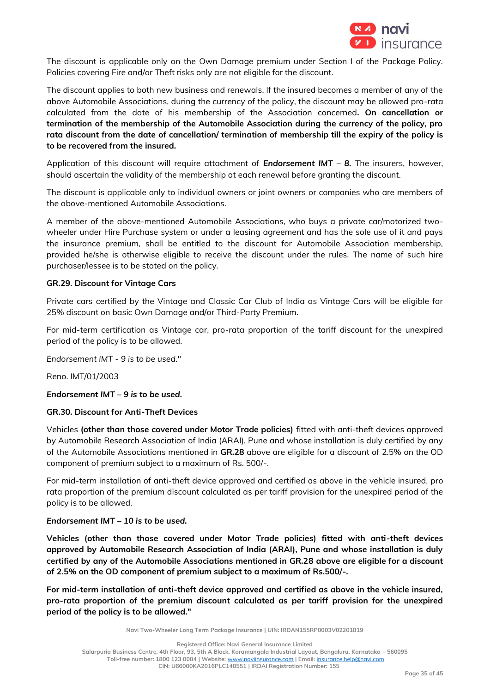

The discount is applicable only on the Own Damage premium under Section I of the Package Policy. Policies covering Fire and/or Theft risks only are not eligible for the discount.

The discount applies to both new business and renewals. If the insured becomes a member of any of the above Automobile Associations, during the currency of the policy, the discount may be allowed pro-rata calculated from the date of his membership of the Association concerned**. On cancellation or termination of the membership of the Automobile Association during the currency of the policy, pro rata discount from the date of cancellation/ termination of membership till the expiry of the policy is to be recovered from the insured.**

Application of this discount will require attachment of *Endorsement IMT – 8.* The insurers, however, should ascertain the validity of the membership at each renewal before granting the discount.

The discount is applicable only to individual owners or joint owners or companies who are members of the above-mentioned Automobile Associations.

A member of the above-mentioned Automobile Associations, who buys a private car/motorized twowheeler under Hire Purchase system or under a leasing agreement and has the sole use of it and pays the insurance premium, shall be entitled to the discount for Automobile Association membership, provided he/she is otherwise eligible to receive the discount under the rules. The name of such hire purchaser/lessee is to be stated on the policy.

### **GR.29. Discount for Vintage Cars**

Private cars certified by the Vintage and Classic Car Club of India as Vintage Cars will be eligible for 25% discount on basic Own Damage and/or Third-Party Premium.

For mid-term certification as Vintage car, pro-rata proportion of the tariff discount for the unexpired period of the policy is to be allowed.

*Endorsement IMT - 9 is to be used."*

Reno. IMT/01/2003

### *Endorsement IMT – 9 is to be used.*

### **GR.30. Discount for Anti-Theft Devices**

Vehicles **(other than those covered under Motor Trade policies)** fitted with anti-theft devices approved by Automobile Research Association of India (ARAI), Pune and whose installation is duly certified by any of the Automobile Associations mentioned in **GR.28** above are eligible for a discount of 2.5% on the OD component of premium subject to a maximum of Rs. 500/-.

For mid-term installation of anti-theft device approved and certified as above in the vehicle insured, pro rata proportion of the premium discount calculated as per tariff provision for the unexpired period of the policy is to be allowed.

### *Endorsement IMT – 10 is to be used.*

**Vehicles (other than those covered under Motor Trade policies) fitted with anti-theft devices approved by Automobile Research Association of India (ARAI), Pune and whose installation is duly certified by any of the Automobile Associations mentioned in GR.28 above are eligible for a discount of 2.5% on the OD component of premium subject to a maximum of Rs.500/-.** 

**For mid-term installation of anti-theft device approved and certified as above in the vehicle insured, pro-rata proportion of the premium discount calculated as per tariff provision for the unexpired period of the policy is to be allowed."** 

**Navi Two-Wheeler Long Term Package Insurance | UIN: IRDAN155RP0003V02201819**

**Registered Office: Navi General Insurance Limited**

**Salarpuria Business Centre, 4th Floor, 93, 5th A Block, Koramangala Industrial Layout, Bengaluru, Karnataka – 560095**

**Toll-free number: 1800 123 0004 | Website:** [www.naviinsurance.com](http://www.naviinsurance.com/) **| Email:** [insurance.help@navi.com](mailto:insurance.help@navi.com)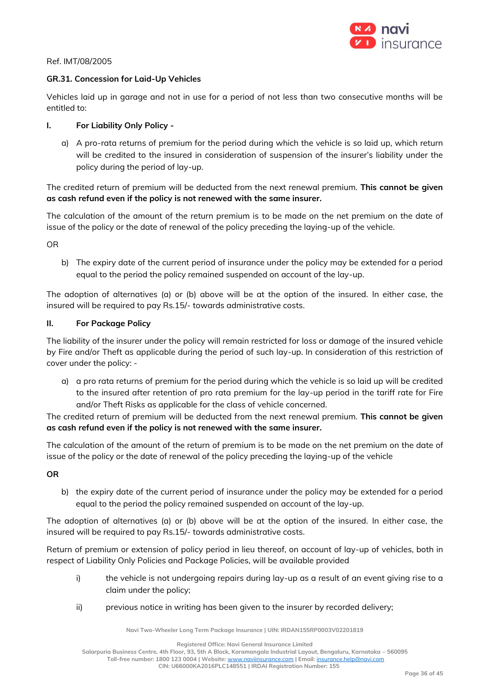

### Ref. IMT/08/2005

### **GR.31. Concession for Laid-Up Vehicles**

Vehicles laid up in garage and not in use for a period of not less than two consecutive months will be entitled to:

### **I. For Liability Only Policy -**

a) A pro-rata returns of premium for the period during which the vehicle is so laid up, which return will be credited to the insured in consideration of suspension of the insurer's liability under the policy during the period of lay-up.

The credited return of premium will be deducted from the next renewal premium. **This cannot be given as cash refund even if the policy is not renewed with the same insurer.**

The calculation of the amount of the return premium is to be made on the net premium on the date of issue of the policy or the date of renewal of the policy preceding the laying-up of the vehicle.

OR

b) The expiry date of the current period of insurance under the policy may be extended for a period equal to the period the policy remained suspended on account of the lay-up.

The adoption of alternatives (a) or (b) above will be at the option of the insured. In either case, the insured will be required to pay Rs.15/- towards administrative costs.

### **II. For Package Policy**

The liability of the insurer under the policy will remain restricted for loss or damage of the insured vehicle by Fire and/or Theft as applicable during the period of such lay-up. In consideration of this restriction of cover under the policy: -

a) a pro rata returns of premium for the period during which the vehicle is so laid up will be credited to the insured after retention of pro rata premium for the lay-up period in the tariff rate for Fire and/or Theft Risks as applicable for the class of vehicle concerned.

The credited return of premium will be deducted from the next renewal premium. **This cannot be given as cash refund even if the policy is not renewed with the same insurer.**

The calculation of the amount of the return of premium is to be made on the net premium on the date of issue of the policy or the date of renewal of the policy preceding the laying-up of the vehicle

**OR**

b) the expiry date of the current period of insurance under the policy may be extended for a period equal to the period the policy remained suspended on account of the lay-up.

The adoption of alternatives (a) or (b) above will be at the option of the insured. In either case, the insured will be required to pay Rs.15/- towards administrative costs.

Return of premium or extension of policy period in lieu thereof, on account of lay-up of vehicles, both in respect of Liability Only Policies and Package Policies, will be available provided

- i) the vehicle is not undergoing repairs during lay-up as a result of an event giving rise to a claim under the policy;
- ii) previous notice in writing has been given to the insurer by recorded delivery;

**Navi Two-Wheeler Long Term Package Insurance | UIN: IRDAN155RP0003V02201819**

**Registered Office: Navi General Insurance Limited**

**Salarpuria Business Centre, 4th Floor, 93, 5th A Block, Koramangala Industrial Layout, Bengaluru, Karnataka – 560095 Toll-free number: 1800 123 0004 | Website:** [www.naviinsurance.com](http://www.naviinsurance.com/) **| Email:** [insurance.help@navi.com](mailto:insurance.help@navi.com) **CIN: U66000KA2016PLC148551 | IRDAI Registration Number: 155**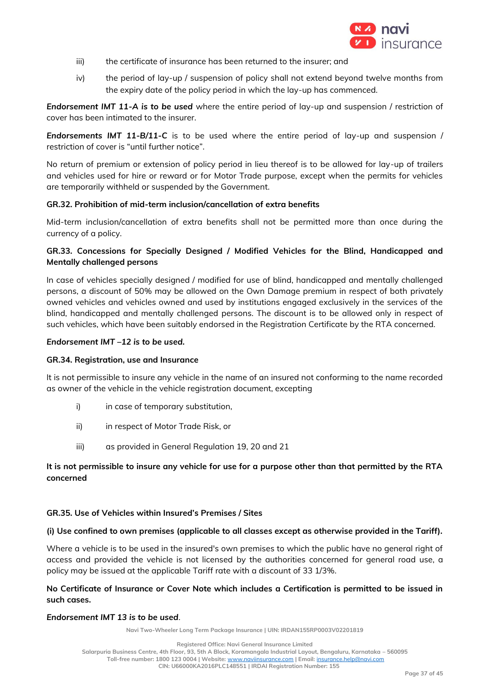

- iii) the certificate of insurance has been returned to the insurer; and
- iv) the period of lay-up / suspension of policy shall not extend beyond twelve months from the expiry date of the policy period in which the lay-up has commenced.

*Endorsement IMT 11-A is to be used* where the entire period of lay-up and suspension / restriction of cover has been intimated to the insurer.

*Endorsements IMT 11-B/11-C* is to be used where the entire period of lay-up and suspension / restriction of cover is "until further notice".

No return of premium or extension of policy period in lieu thereof is to be allowed for lay-up of trailers and vehicles used for hire or reward or for Motor Trade purpose, except when the permits for vehicles are temporarily withheld or suspended by the Government.

### **GR.32. Prohibition of mid-term inclusion/cancellation of extra benefits**

Mid-term inclusion/cancellation of extra benefits shall not be permitted more than once during the currency of a policy.

# **GR.33. Concessions for Specially Designed / Modified Vehicles for the Blind, Handicapped and Mentally challenged persons**

In case of vehicles specially designed / modified for use of blind, handicapped and mentally challenged persons, a discount of 50% may be allowed on the Own Damage premium in respect of both privately owned vehicles and vehicles owned and used by institutions engaged exclusively in the services of the blind, handicapped and mentally challenged persons. The discount is to be allowed only in respect of such vehicles, which have been suitably endorsed in the Registration Certificate by the RTA concerned.

### *Endorsement IMT –12 is to be used.*

### **GR.34. Registration, use and Insurance**

It is not permissible to insure any vehicle in the name of an insured not conforming to the name recorded as owner of the vehicle in the vehicle registration document, excepting

- i) in case of temporary substitution,
- ii) in respect of Motor Trade Risk, or
- iii) as provided in General Regulation 19, 20 and 21

# **It is not permissible to insure any vehicle for use for a purpose other than that permitted by the RTA concerned**

### **GR.35. Use of Vehicles within Insured's Premises / Sites**

### **(i) Use confined to own premises (applicable to all classes except as otherwise provided in the Tariff).**

Where a vehicle is to be used in the insured's own premises to which the public have no general right of access and provided the vehicle is not licensed by the authorities concerned for general road use, a policy may be issued at the applicable Tariff rate with a discount of 33 1/3%.

# **No Certificate of Insurance or Cover Note which includes a Certification is permitted to be issued in such cases.**

## *Endorsement IMT 13 is to be used.*

**Navi Two-Wheeler Long Term Package Insurance | UIN: IRDAN155RP0003V02201819**

**Toll-free number: 1800 123 0004 | Website:** [www.naviinsurance.com](http://www.naviinsurance.com/) **| Email:** [insurance.help@navi.com](mailto:insurance.help@navi.com)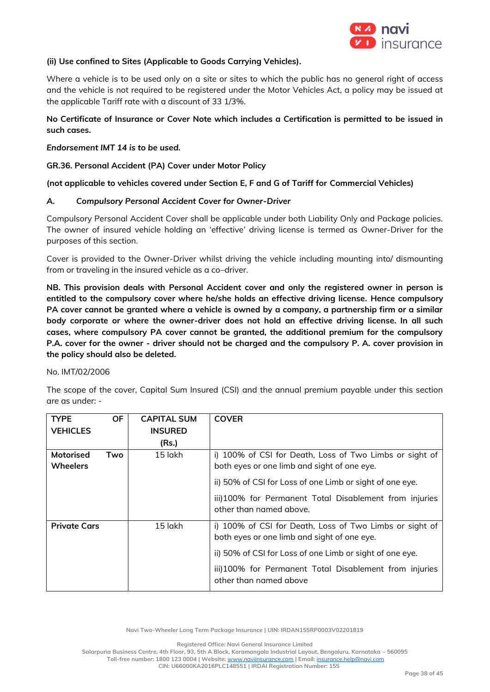

### **(ii) Use confined to Sites (Applicable to Goods Carrying Vehicles).**

Where a vehicle is to be used only on a site or sites to which the public has no general right of access and the vehicle is not required to be registered under the Motor Vehicles Act, a policy may be issued at the applicable Tariff rate with a discount of 33 1/3%.

# **No Certificate of Insurance or Cover Note which includes a Certification is permitted to be issued in such cases.**

### *Endorsement IMT 14 is to be used.*

### **GR.36. Personal Accident (PA) Cover under Motor Policy**

### **(not applicable to vehicles covered under Section E, F and G of Tariff for Commercial Vehicles)**

### *A. Compulsory Personal Accident Cover for Owner-Driver*

Compulsory Personal Accident Cover shall be applicable under both Liability Only and Package policies. The owner of insured vehicle holding an 'effective' driving license is termed as Owner-Driver for the purposes of this section.

Cover is provided to the Owner-Driver whilst driving the vehicle including mounting into/ dismounting from or traveling in the insured vehicle as a co–driver.

**NB. This provision deals with Personal Accident cover and only the registered owner in person is entitled to the compulsory cover where he/she holds an effective driving license. Hence compulsory PA cover cannot be granted where a vehicle is owned by a company, a partnership firm or a similar body corporate or where the owner-driver does not hold an effective driving license. In all such cases, where compulsory PA cover cannot be granted, the additional premium for the compulsory P.A. cover for the owner - driver should not be charged and the compulsory P. A. cover provision in the policy should also be deleted.** 

#### No. IMT/02/2006

The scope of the cover, Capital Sum Insured (CSI) and the annual premium payable under this section are as under: -

| <b>TYPE</b>                         | <b>OF</b> | <b>CAPITAL SUM</b> | <b>COVER</b>                                                                                           |
|-------------------------------------|-----------|--------------------|--------------------------------------------------------------------------------------------------------|
| <b>VEHICLES</b>                     |           | <b>INSURED</b>     |                                                                                                        |
|                                     |           | (Rs.)              |                                                                                                        |
| <b>Motorised</b><br><b>Wheelers</b> | Two       | 15 lakh            | i) 100% of CSI for Death, Loss of Two Limbs or sight of<br>both eyes or one limb and sight of one eye. |
|                                     |           |                    | ii) 50% of CSI for Loss of one Limb or sight of one eye.                                               |
|                                     |           |                    | iii)100% for Permanent Total Disablement from injuries<br>other than named above.                      |
| <b>Private Cars</b>                 |           | 15 lakh            | i) 100% of CSI for Death, Loss of Two Limbs or sight of<br>both eyes or one limb and sight of one eye. |
|                                     |           |                    | ii) 50% of CSI for Loss of one Limb or sight of one eye.                                               |
|                                     |           |                    | iii)100% for Permanent Total Disablement from injuries<br>other than named above                       |

**Navi Two-Wheeler Long Term Package Insurance | UIN: IRDAN155RP0003V02201819**

**Registered Office: Navi General Insurance Limited**

**Salarpuria Business Centre, 4th Floor, 93, 5th A Block, Koramangala Industrial Layout, Bengaluru, Karnataka – 560095**

**Toll-free number: 1800 123 0004 | Website:** [www.naviinsurance.com](http://www.naviinsurance.com/) **| Email:** [insurance.help@navi.com](mailto:insurance.help@navi.com)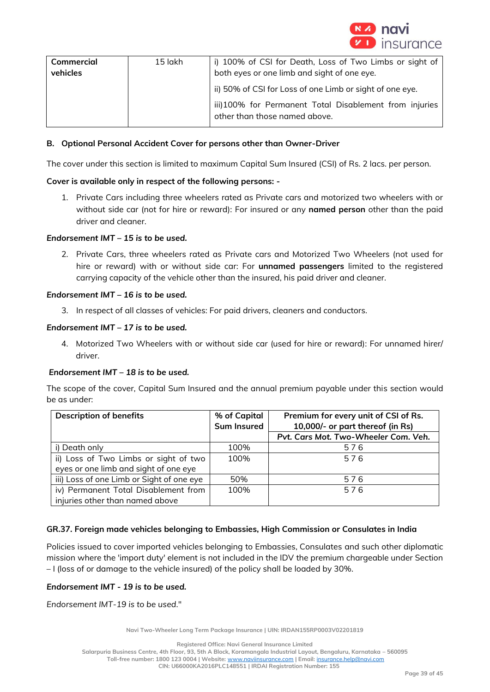

| Commercial<br>vehicles | 15 lakh | i) 100% of CSI for Death, Loss of Two Limbs or sight of<br>both eyes or one limb and sight of one eye. |
|------------------------|---------|--------------------------------------------------------------------------------------------------------|
|                        |         | ii) 50% of CSI for Loss of one Limb or sight of one eye.                                               |
|                        |         | iii)100% for Permanent Total Disablement from injuries<br>other than those named above.                |

## **B. Optional Personal Accident Cover for persons other than Owner-Driver**

The cover under this section is limited to maximum Capital Sum Insured (CSI) of Rs. 2 lacs. per person.

### **Cover is available only in respect of the following persons: -**

1. Private Cars including three wheelers rated as Private cars and motorized two wheelers with or without side car (not for hire or reward): For insured or any **named person** other than the paid driver and cleaner.

### *Endorsement IMT – 15 is to be used.*

2. Private Cars, three wheelers rated as Private cars and Motorized Two Wheelers (not used for hire or reward) with or without side car: For **unnamed passengers** limited to the registered carrying capacity of the vehicle other than the insured, his paid driver and cleaner.

### *Endorsement IMT – 16 is to be used.*

3. In respect of all classes of vehicles: For paid drivers, cleaners and conductors.

### *Endorsement IMT – 17 is to be used.*

4. Motorized Two Wheelers with or without side car (used for hire or reward): For unnamed hirer/ driver.

### *Endorsement IMT – 18 is to be used.*

The scope of the cover, Capital Sum Insured and the annual premium payable under this section would be as under:

| <b>Description of benefits</b>            | % of Capital<br><b>Sum Insured</b> | Premium for every unit of CSI of Rs.<br>10,000/- or part thereof (in Rs) |
|-------------------------------------------|------------------------------------|--------------------------------------------------------------------------|
|                                           |                                    | Pvt. Cars Mot. Two-Wheeler Com. Veh.                                     |
| i) Death only                             | 100%                               | 576                                                                      |
| ii) Loss of Two Limbs or sight of two     | 100%                               | 576                                                                      |
| eyes or one limb and sight of one eye     |                                    |                                                                          |
| iii) Loss of one Limb or Sight of one eye | 50%                                | 576                                                                      |
| iv) Permanent Total Disablement from      | 100%                               | 576                                                                      |
| injuries other than named above           |                                    |                                                                          |

### **GR.37. Foreign made vehicles belonging to Embassies, High Commission or Consulates in India**

Policies issued to cover imported vehicles belonging to Embassies, Consulates and such other diplomatic mission where the 'import duty' element is not included in the IDV the premium chargeable under Section – I (loss of or damage to the vehicle insured) of the policy shall be loaded by 30%.

#### *Endorsement IMT - 19 is to be used.*

*Endorsement IMT-19 is to be used*."

**Navi Two-Wheeler Long Term Package Insurance | UIN: IRDAN155RP0003V02201819**

**Registered Office: Navi General Insurance Limited**

**Salarpuria Business Centre, 4th Floor, 93, 5th A Block, Koramangala Industrial Layout, Bengaluru, Karnataka – 560095**

**Toll-free number: 1800 123 0004 | Website:** [www.naviinsurance.com](http://www.naviinsurance.com/) **| Email:** [insurance.help@navi.com](mailto:insurance.help@navi.com)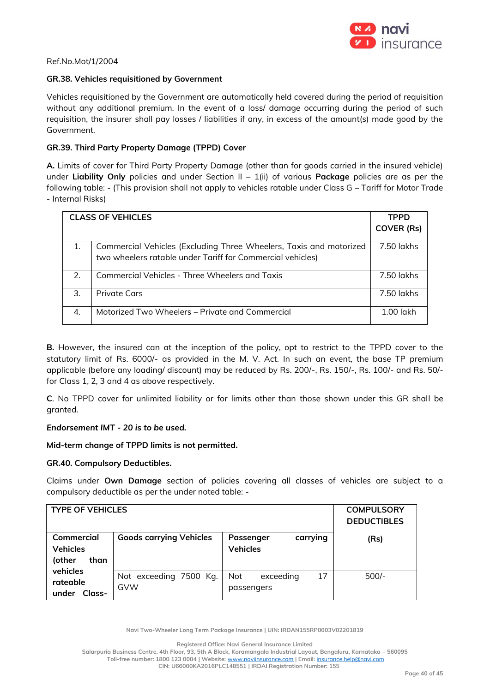

### Ref.No.Mot/1/2004

### **GR.38. Vehicles requisitioned by Government**

Vehicles requisitioned by the Government are automatically held covered during the period of requisition without any additional premium. In the event of a loss/ damage occurring during the period of such requisition, the insurer shall pay losses / liabilities if any, in excess of the amount(s) made good by the Government.

## **GR.39. Third Party Property Damage (TPPD) Cover**

**A.** Limits of cover for Third Party Property Damage (other than for goods carried in the insured vehicle) under **Liability Only** policies and under Section II – 1(ii) of various **Package** policies are as per the following table: - (This provision shall not apply to vehicles ratable under Class G – Tariff for Motor Trade - Internal Risks)

|    | <b>CLASS OF VEHICLES</b>                                                                                                         | <b>TPPD</b>       |
|----|----------------------------------------------------------------------------------------------------------------------------------|-------------------|
|    |                                                                                                                                  | <b>COVER (Rs)</b> |
| 1. | Commercial Vehicles (Excluding Three Wheelers, Taxis and motorized<br>two wheelers ratable under Tariff for Commercial vehicles) | 7.50 lakhs        |
| 2. | <b>Commercial Vehicles - Three Wheelers and Taxis</b>                                                                            | 7.50 lakhs        |
| 3. | Private Cars                                                                                                                     | 7.50 lakhs        |
| 4. | Motorized Two Wheelers – Private and Commercial                                                                                  | $1.00$ lakh       |

**B.** However, the insured can at the inception of the policy, opt to restrict to the TPPD cover to the statutory limit of Rs. 6000/- as provided in the M. V. Act. In such an event, the base TP premium applicable (before any loading/ discount) may be reduced by Rs. 200/-, Rs. 150/-, Rs. 100/- and Rs. 50/ for Class 1, 2, 3 and 4 as above respectively.

**C**. No TPPD cover for unlimited liability or for limits other than those shown under this GR shall be granted.

### *Endorsement IMT - 20 is to be used.*

**Mid-term change of TPPD limits is not permitted.** 

### **GR.40. Compulsory Deductibles.**

Claims under **Own Damage** section of policies covering all classes of vehicles are subject to a compulsory deductible as per the under noted table: -

| <b>TYPE OF VEHICLES</b>                         |                                |                                             | <b>COMPULSORY</b><br><b>DEDUCTIBLES</b> |
|-------------------------------------------------|--------------------------------|---------------------------------------------|-----------------------------------------|
| Commercial<br><b>Vehicles</b><br>(other<br>than | <b>Goods carrying Vehicles</b> | Passenger<br>carrying<br><b>Vehicles</b>    | (Rs)                                    |
| vehicles<br>rateable<br>Class-<br>under         | Not exceeding 7500 Kg.<br>GVW  | 17<br><b>Not</b><br>exceeding<br>passengers | $500/-$                                 |

**Navi Two-Wheeler Long Term Package Insurance | UIN: IRDAN155RP0003V02201819**

**Registered Office: Navi General Insurance Limited**

**Salarpuria Business Centre, 4th Floor, 93, 5th A Block, Koramangala Industrial Layout, Bengaluru, Karnataka – 560095 Toll-free number: 1800 123 0004 | Website:** [www.naviinsurance.com](http://www.naviinsurance.com/) **| Email:** [insurance.help@navi.com](mailto:insurance.help@navi.com)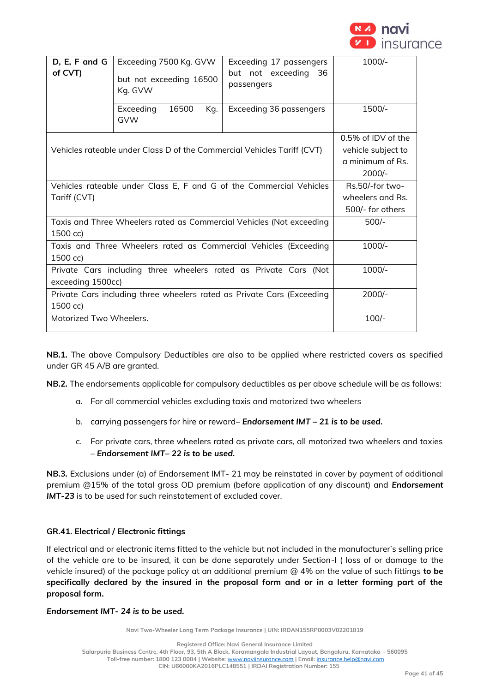

| D, E, F and G<br>of CVT)                                                              | Exceeding 7500 Kg. GVW<br>but not exceeding 16500<br>Kg. GVW | Exceeding 17 passengers<br>but not exceeding<br>36<br>passengers | $1000/-$                                                                 |
|---------------------------------------------------------------------------------------|--------------------------------------------------------------|------------------------------------------------------------------|--------------------------------------------------------------------------|
|                                                                                       | 16500<br>Exceeding<br>Kg.<br><b>GVW</b>                      | Exceeding 36 passengers                                          | 1500/-                                                                   |
| Vehicles rateable under Class D of the Commercial Vehicles Tariff (CVT)               |                                                              |                                                                  | 0.5% of IDV of the<br>vehicle subject to<br>a minimum of Rs.<br>$2000/-$ |
| Vehicles rateable under Class E, F and G of the Commercial Vehicles<br>Tariff (CVT)   |                                                              |                                                                  | Rs.50/-for two-<br>wheelers and Rs.<br>500/- for others                  |
| Taxis and Three Wheelers rated as Commercial Vehicles (Not exceeding<br>1500 cc)      |                                                              |                                                                  | $500/-$                                                                  |
| Taxis and Three Wheelers rated as Commercial Vehicles (Exceeding<br>1500 cc)          |                                                              |                                                                  | 1000/-                                                                   |
| Private Cars including three wheelers rated as Private Cars (Not<br>exceeding 1500cc) |                                                              |                                                                  | $1000/-$                                                                 |
| Private Cars including three wheelers rated as Private Cars (Exceeding<br>1500 cc)    |                                                              |                                                                  | $2000/-$                                                                 |
| Motorized Two Wheelers.                                                               |                                                              |                                                                  | $100/-$                                                                  |

**NB.1.** The above Compulsory Deductibles are also to be applied where restricted covers as specified under GR 45 A/B are granted.

**NB.2.** The endorsements applicable for compulsory deductibles as per above schedule will be as follows:

- a. For all commercial vehicles excluding taxis and motorized two wheelers
- b. carrying passengers for hire or reward– *Endorsement IMT – 21 is to be used.*
- c. For private cars, three wheelers rated as private cars, all motorized two wheelers and taxies – *Endorsement IMT– 22 is to be used.*

**NB.3.** Exclusions under (a) of Endorsement IMT- 21 may be reinstated in cover by payment of additional premium @15% of the total gross OD premium (before application of any discount) and *Endorsement IMT-23* is to be used for such reinstatement of excluded cover.

### **GR.41. Electrical / Electronic fittings**

If electrical and or electronic items fitted to the vehicle but not included in the manufacturer's selling price of the vehicle are to be insured, it can be done separately under Section-I ( loss of or damage to the vehicle insured) of the package policy at an additional premium @ 4% on the value of such fittings **to be specifically declared by the insured in the proposal form and or in a letter forming part of the proposal form.**

### *Endorsement IMT- 24 is to be used.*

**Navi Two-Wheeler Long Term Package Insurance | UIN: IRDAN155RP0003V02201819**

**Registered Office: Navi General Insurance Limited Salarpuria Business Centre, 4th Floor, 93, 5th A Block, Koramangala Industrial Layout, Bengaluru, Karnataka – 560095 Toll-free number: 1800 123 0004 | Website:** [www.naviinsurance.com](http://www.naviinsurance.com/) **| Email:** [insurance.help@navi.com](mailto:insurance.help@navi.com) **CIN: U66000KA2016PLC148551 | IRDAI Registration Number: 155**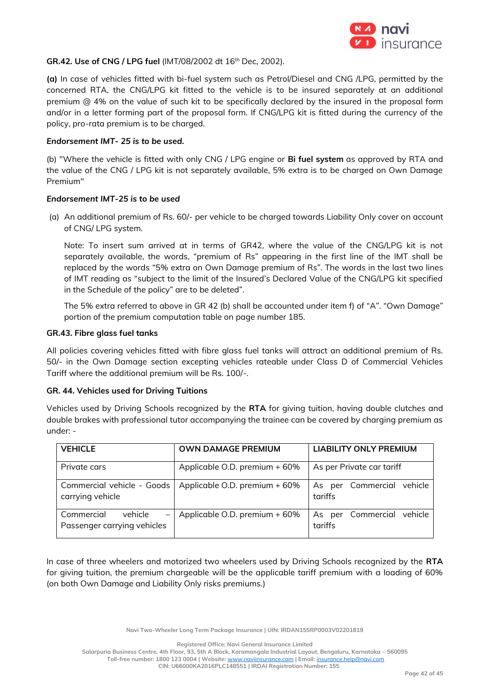

### **GR.42. Use of CNG / LPG fuel** (IMT/08/2002 dt 16th Dec, 2002).

**(a)** In case of vehicles fitted with bi-fuel system such as Petrol/Diesel and CNG /LPG, permitted by the concerned RTA, the CNG/LPG kit fitted to the vehicle is to be insured separately at an additional premium @ 4% on the value of such kit to be specifically declared by the insured in the proposal form and/or in a letter forming part of the proposal form. If CNG/LPG kit is fitted during the currency of the policy, pro-rata premium is to be charged.

### *Endorsement IMT- 25 is to be used.*

(b) "Where the vehicle is fitted with only CNG / LPG engine or **Bi fuel system** as approved by RTA and the value of the CNG / LPG kit is not separately available, 5% extra is to be charged on Own Damage Premium"

### *Endorsement IMT-25 is to be used*

(a) An additional premium of Rs. 60/- per vehicle to be charged towards Liability Only cover on account of CNG/ LPG system.

Note: To insert sum arrived at in terms of GR42, where the value of the CNG/LPG kit is not separately available, the words, "premium of Rs" appearing in the first line of the IMT shall be replaced by the words "5% extra on Own Damage premium of Rs". The words in the last two lines of IMT reading as "subject to the limit of the Insured's Declared Value of the CNG/LPG kit specified in the Schedule of the policy" are to be deleted".

The 5% extra referred to above in GR 42 (b) shall be accounted under item f) of "A". "Own Damage" portion of the premium computation table on page number 185.

### **GR.43. Fibre glass fuel tanks**

All policies covering vehicles fitted with fibre glass fuel tanks will attract an additional premium of Rs. 50/- in the Own Damage section excepting vehicles rateable under Class D of Commercial Vehicles Tariff where the additional premium will be Rs. 100/-.

### **GR. 44. Vehicles used for Driving Tuitions**

Vehicles used by Driving Schools recognized by the **RTA** for giving tuition, having double clutches and double brakes with professional tutor accompanying the trainee can be covered by charging premium as under: -

| <b>VEHICLE</b>                                       | <b>OWN DAMAGE PREMIUM</b>     | <b>LIABILITY ONLY PREMIUM</b>        |
|------------------------------------------------------|-------------------------------|--------------------------------------|
|                                                      |                               |                                      |
| Private cars                                         | Applicable O.D. premium + 60% | As per Private car tariff            |
| Commercial vehicle - Goods<br>carrying vehicle       | Applicable O.D. premium + 60% | As per Commercial vehicle<br>tariffs |
| Commercial<br>vehicle<br>Passenger carrying vehicles | Applicable O.D. premium + 60% | As per Commercial vehicle<br>tariffs |

In case of three wheelers and motorized two wheelers used by Driving Schools recognized by the **RTA** for giving tuition, the premium chargeable will be the applicable tariff premium with a loading of 60% (on both Own Damage and Liability Only risks premiums.)

**Navi Two-Wheeler Long Term Package Insurance | UIN: IRDAN155RP0003V02201819**

**Registered Office: Navi General Insurance Limited**

**Salarpuria Business Centre, 4th Floor, 93, 5th A Block, Koramangala Industrial Layout, Bengaluru, Karnataka – 560095 Toll-free number: 1800 123 0004 | Website:** [www.naviinsurance.com](http://www.naviinsurance.com/) **| Email:** [insurance.help@navi.com](mailto:insurance.help@navi.com)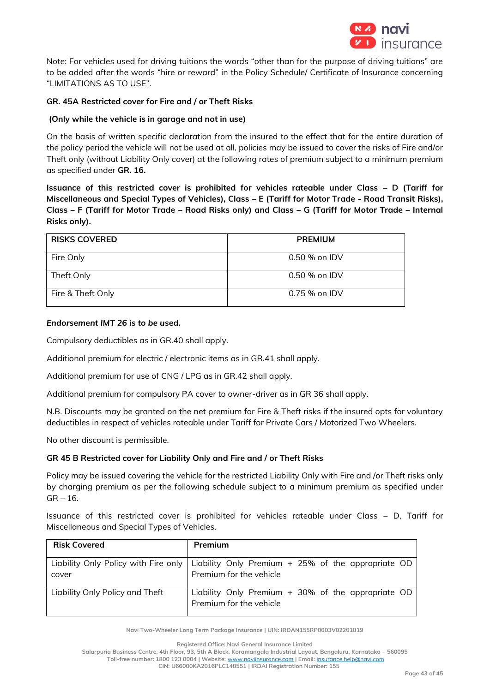

Note: For vehicles used for driving tuitions the words "other than for the purpose of driving tuitions" are to be added after the words "hire or reward" in the Policy Schedule/ Certificate of Insurance concerning "LIMITATIONS AS TO USE".

# **GR. 45A Restricted cover for Fire and / or Theft Risks**

## **(Only while the vehicle is in garage and not in use)**

On the basis of written specific declaration from the insured to the effect that for the entire duration of the policy period the vehicle will not be used at all, policies may be issued to cover the risks of Fire and/or Theft only (without Liability Only cover) at the following rates of premium subject to a minimum premium as specified under **GR. 16.**

**Issuance of this restricted cover is prohibited for vehicles rateable under Class – D (Tariff for Miscellaneous and Special Types of Vehicles), Class – E (Tariff for Motor Trade - Road Transit Risks), Class – F (Tariff for Motor Trade – Road Risks only) and Class – G (Tariff for Motor Trade – Internal Risks only).**

| <b>RISKS COVERED</b> | <b>PREMIUM</b> |
|----------------------|----------------|
| Fire Only            | 0.50 % on IDV  |
| Theft Only           | 0.50 % on IDV  |
| Fire & Theft Only    | $0.75%$ on IDV |

### *Endorsement IMT 26 is to be used.*

Compulsory deductibles as in GR.40 shall apply.

Additional premium for electric / electronic items as in GR.41 shall apply.

Additional premium for use of CNG / LPG as in GR.42 shall apply.

Additional premium for compulsory PA cover to owner-driver as in GR 36 shall apply.

N.B. Discounts may be granted on the net premium for Fire & Theft risks if the insured opts for voluntary deductibles in respect of vehicles rateable under Tariff for Private Cars / Motorized Two Wheelers.

No other discount is permissible.

### **GR 45 B Restricted cover for Liability Only and Fire and / or Theft Risks**

Policy may be issued covering the vehicle for the restricted Liability Only with Fire and /or Theft risks only by charging premium as per the following schedule subject to a minimum premium as specified under  $GR - 16.$ 

Issuance of this restricted cover is prohibited for vehicles rateable under Class – D, Tariff for Miscellaneous and Special Types of Vehicles.

| <b>Risk Covered</b>             | <b>Premium</b>                                                                                                         |
|---------------------------------|------------------------------------------------------------------------------------------------------------------------|
| cover                           | Liability Only Policy with Fire only   Liability Only Premium $+$ 25% of the appropriate OD<br>Premium for the vehicle |
| Liability Only Policy and Theft | Liability Only Premium $+$ 30% of the appropriate OD<br>Premium for the vehicle                                        |

**Navi Two-Wheeler Long Term Package Insurance | UIN: IRDAN155RP0003V02201819**

**Registered Office: Navi General Insurance Limited**

**Salarpuria Business Centre, 4th Floor, 93, 5th A Block, Koramangala Industrial Layout, Bengaluru, Karnataka – 560095**

**Toll-free number: 1800 123 0004 | Website:** [www.naviinsurance.com](http://www.naviinsurance.com/) **| Email:** [insurance.help@navi.com](mailto:insurance.help@navi.com)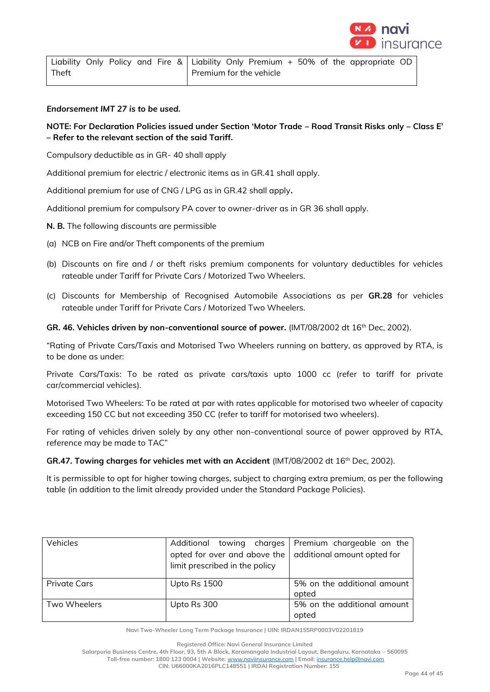

|       |  |  |  |                         |  |  | Liability Only Policy and Fire & Liability Only Premium $+$ 50% of the appropriate OD |  |
|-------|--|--|--|-------------------------|--|--|---------------------------------------------------------------------------------------|--|
| Theft |  |  |  | Premium for the vehicle |  |  |                                                                                       |  |

*Endorsement IMT 27 is to be used.*

# **NOTE: For Declaration Policies issued under Section 'Motor Trade – Road Transit Risks only – Class E' – Refer to the relevant section of the said Tariff.**

Compulsory deductible as in GR- 40 shall apply

Additional premium for electric / electronic items as in GR.41 shall apply.

Additional premium for use of CNG / LPG as in GR.42 shall apply**.**

Additional premium for compulsory PA cover to owner-driver as in GR 36 shall apply.

- **N. B.** The following discounts are permissible
- (a) NCB on Fire and/or Theft components of the premium
- (b) Discounts on fire and / or theft risks premium components for voluntary deductibles for vehicles rateable under Tariff for Private Cars / Motorized Two Wheelers.
- (c) Discounts for Membership of Recognised Automobile Associations as per **GR.28** for vehicles rateable under Tariff for Private Cars / Motorized Two Wheelers.

GR. 46. Vehicles driven by non-conventional source of power. (IMT/08/2002 dt 16<sup>th</sup> Dec, 2002).

"Rating of Private Cars/Taxis and Motorised Two Wheelers running on battery, as approved by RTA, is to be done as under:

Private Cars/Taxis: To be rated as private cars/taxis upto 1000 cc (refer to tariff for private car/commercial vehicles).

Motorised Two Wheelers: To be rated at par with rates applicable for motorised two wheeler of capacity exceeding 150 CC but not exceeding 350 CC (refer to tariff for motorised two wheelers).

For rating of vehicles driven solely by any other non-conventional source of power approved by RTA, reference may be made to TAC"

### **GR.47. Towing charges for vehicles met with an Accident** (IMT/08/2002 dt 16th Dec, 2002).

It is permissible to opt for higher towing charges, subject to charging extra premium, as per the following table (in addition to the limit already provided under the Standard Package Policies).

| Vehicles            | Additional towing charges<br>opted for over and above the<br>limit prescribed in the policy | Premium chargeable on the<br>additional amount opted for |
|---------------------|---------------------------------------------------------------------------------------------|----------------------------------------------------------|
| <b>Private Cars</b> | <b>Upto Rs 1500</b>                                                                         | 5% on the additional amount<br>opted                     |
| Two Wheelers        | Upto Rs 300                                                                                 | 5% on the additional amount<br>opted                     |

**Navi Two-Wheeler Long Term Package Insurance | UIN: IRDAN155RP0003V02201819**

**Registered Office: Navi General Insurance Limited**

**Salarpuria Business Centre, 4th Floor, 93, 5th A Block, Koramangala Industrial Layout, Bengaluru, Karnataka – 560095**

**Toll-free number: 1800 123 0004 | Website:** [www.naviinsurance.com](http://www.naviinsurance.com/) **| Email:** [insurance.help@navi.com](mailto:insurance.help@navi.com)